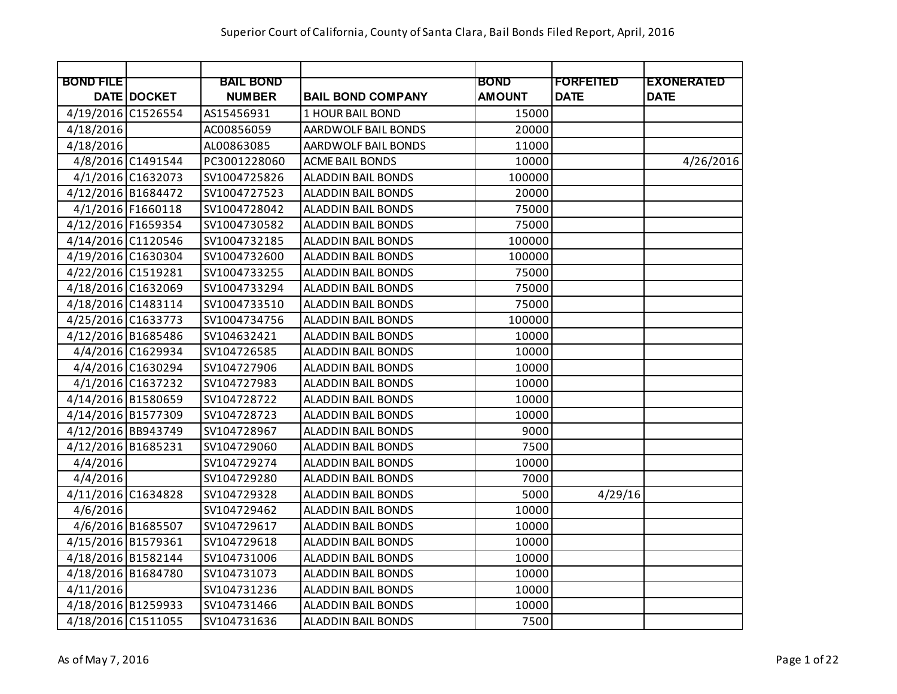|                    |                   | <b>BAIL BOND</b> |                           | <b>BOND</b>   | <b>FORFEITED</b> | <b>EXONERATED</b> |
|--------------------|-------------------|------------------|---------------------------|---------------|------------------|-------------------|
| <b>BOND FILE</b>   | DATE DOCKET       | <b>NUMBER</b>    | <b>BAIL BOND COMPANY</b>  | <b>AMOUNT</b> | <b>DATE</b>      | <b>DATE</b>       |
| 4/19/2016 C1526554 |                   | AS15456931       | 1 HOUR BAIL BOND          | 15000         |                  |                   |
| 4/18/2016          |                   | AC00856059       | AARDWOLF BAIL BONDS       | 20000         |                  |                   |
| 4/18/2016          |                   | AL00863085       | AARDWOLF BAIL BONDS       | 11000         |                  |                   |
|                    | 4/8/2016 C1491544 | PC3001228060     | <b>ACME BAIL BONDS</b>    | 10000         |                  | 4/26/2016         |
|                    | 4/1/2016 C1632073 | SV1004725826     | <b>ALADDIN BAIL BONDS</b> | 100000        |                  |                   |
| 4/12/2016 B1684472 |                   | SV1004727523     | <b>ALADDIN BAIL BONDS</b> | 20000         |                  |                   |
|                    | 4/1/2016 F1660118 | SV1004728042     | <b>ALADDIN BAIL BONDS</b> | 75000         |                  |                   |
| 4/12/2016 F1659354 |                   | SV1004730582     | <b>ALADDIN BAIL BONDS</b> | 75000         |                  |                   |
| 4/14/2016 C1120546 |                   | SV1004732185     | <b>ALADDIN BAIL BONDS</b> | 100000        |                  |                   |
| 4/19/2016 C1630304 |                   | SV1004732600     | <b>ALADDIN BAIL BONDS</b> | 100000        |                  |                   |
| 4/22/2016 C1519281 |                   | SV1004733255     | <b>ALADDIN BAIL BONDS</b> | 75000         |                  |                   |
| 4/18/2016 C1632069 |                   | SV1004733294     | <b>ALADDIN BAIL BONDS</b> | 75000         |                  |                   |
| 4/18/2016 C1483114 |                   | SV1004733510     | <b>ALADDIN BAIL BONDS</b> | 75000         |                  |                   |
| 4/25/2016 C1633773 |                   | SV1004734756     | <b>ALADDIN BAIL BONDS</b> | 100000        |                  |                   |
| 4/12/2016 B1685486 |                   | SV104632421      | <b>ALADDIN BAIL BONDS</b> | 10000         |                  |                   |
|                    | 4/4/2016 C1629934 | SV104726585      | <b>ALADDIN BAIL BONDS</b> | 10000         |                  |                   |
|                    | 4/4/2016 C1630294 | SV104727906      | <b>ALADDIN BAIL BONDS</b> | 10000         |                  |                   |
|                    | 4/1/2016 C1637232 | SV104727983      | <b>ALADDIN BAIL BONDS</b> | 10000         |                  |                   |
| 4/14/2016 B1580659 |                   | SV104728722      | <b>ALADDIN BAIL BONDS</b> | 10000         |                  |                   |
| 4/14/2016 B1577309 |                   | SV104728723      | <b>ALADDIN BAIL BONDS</b> | 10000         |                  |                   |
| 4/12/2016 BB943749 |                   | SV104728967      | <b>ALADDIN BAIL BONDS</b> | 9000          |                  |                   |
| 4/12/2016 B1685231 |                   | SV104729060      | <b>ALADDIN BAIL BONDS</b> | 7500          |                  |                   |
| 4/4/2016           |                   | SV104729274      | <b>ALADDIN BAIL BONDS</b> | 10000         |                  |                   |
| 4/4/2016           |                   | SV104729280      | <b>ALADDIN BAIL BONDS</b> | 7000          |                  |                   |
| 4/11/2016 C1634828 |                   | SV104729328      | <b>ALADDIN BAIL BONDS</b> | 5000          | 4/29/16          |                   |
| 4/6/2016           |                   | SV104729462      | <b>ALADDIN BAIL BONDS</b> | 10000         |                  |                   |
|                    | 4/6/2016 B1685507 | SV104729617      | <b>ALADDIN BAIL BONDS</b> | 10000         |                  |                   |
| 4/15/2016 B1579361 |                   | SV104729618      | <b>ALADDIN BAIL BONDS</b> | 10000         |                  |                   |
| 4/18/2016 B1582144 |                   | SV104731006      | <b>ALADDIN BAIL BONDS</b> | 10000         |                  |                   |
| 4/18/2016 B1684780 |                   | SV104731073      | ALADDIN BAIL BONDS        | 10000         |                  |                   |
| 4/11/2016          |                   | SV104731236      | <b>ALADDIN BAIL BONDS</b> | 10000         |                  |                   |
| 4/18/2016 B1259933 |                   | SV104731466      | <b>ALADDIN BAIL BONDS</b> | 10000         |                  |                   |
| 4/18/2016 C1511055 |                   | SV104731636      | <b>ALADDIN BAIL BONDS</b> | 7500          |                  |                   |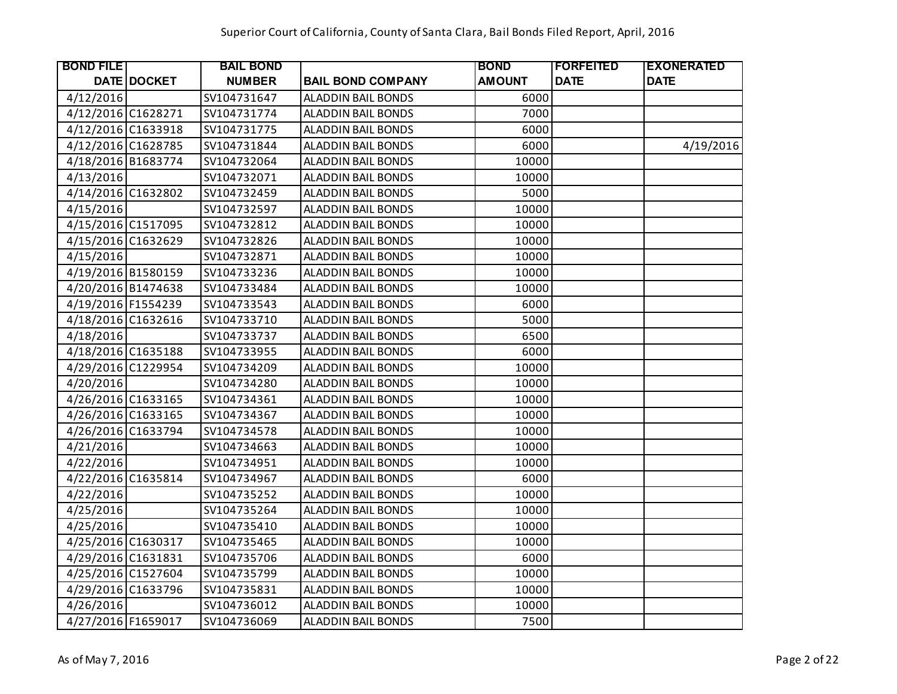| <b>BOND FILE</b>   |                    | <b>BAIL BOND</b> |                           | <b>BOND</b>   | <b> FORFEITED</b> | <b>EXONERATED</b> |
|--------------------|--------------------|------------------|---------------------------|---------------|-------------------|-------------------|
|                    | <b>DATE DOCKET</b> | <b>NUMBER</b>    | <b>BAIL BOND COMPANY</b>  | <b>AMOUNT</b> | <b>DATE</b>       | <b>DATE</b>       |
| 4/12/2016          |                    | SV104731647      | <b>ALADDIN BAIL BONDS</b> | 6000          |                   |                   |
| 4/12/2016 C1628271 |                    | SV104731774      | <b>ALADDIN BAIL BONDS</b> | 7000          |                   |                   |
| 4/12/2016 C1633918 |                    | SV104731775      | <b>ALADDIN BAIL BONDS</b> | 6000          |                   |                   |
| 4/12/2016 C1628785 |                    | SV104731844      | <b>ALADDIN BAIL BONDS</b> | 6000          |                   | 4/19/2016         |
| 4/18/2016 B1683774 |                    | SV104732064      | <b>ALADDIN BAIL BONDS</b> | 10000         |                   |                   |
| 4/13/2016          |                    | SV104732071      | ALADDIN BAIL BONDS        | 10000         |                   |                   |
| 4/14/2016 C1632802 |                    | SV104732459      | <b>ALADDIN BAIL BONDS</b> | 5000          |                   |                   |
| 4/15/2016          |                    | SV104732597      | ALADDIN BAIL BONDS        | 10000         |                   |                   |
| 4/15/2016 C1517095 |                    | SV104732812      | <b>ALADDIN BAIL BONDS</b> | 10000         |                   |                   |
| 4/15/2016 C1632629 |                    | SV104732826      | ALADDIN BAIL BONDS        | 10000         |                   |                   |
| 4/15/2016          |                    | SV104732871      | ALADDIN BAIL BONDS        | 10000         |                   |                   |
| 4/19/2016 B1580159 |                    | SV104733236      | ALADDIN BAIL BONDS        | 10000         |                   |                   |
| 4/20/2016 B1474638 |                    | SV104733484      | <b>ALADDIN BAIL BONDS</b> | 10000         |                   |                   |
| 4/19/2016 F1554239 |                    | SV104733543      | <b>ALADDIN BAIL BONDS</b> | 6000          |                   |                   |
| 4/18/2016 C1632616 |                    | SV104733710      | <b>ALADDIN BAIL BONDS</b> | 5000          |                   |                   |
| 4/18/2016          |                    | SV104733737      | <b>ALADDIN BAIL BONDS</b> | 6500          |                   |                   |
| 4/18/2016 C1635188 |                    | SV104733955      | <b>ALADDIN BAIL BONDS</b> | 6000          |                   |                   |
| 4/29/2016 C1229954 |                    | SV104734209      | <b>ALADDIN BAIL BONDS</b> | 10000         |                   |                   |
| 4/20/2016          |                    | SV104734280      | ALADDIN BAIL BONDS        | 10000         |                   |                   |
| 4/26/2016 C1633165 |                    | SV104734361      | <b>ALADDIN BAIL BONDS</b> | 10000         |                   |                   |
| 4/26/2016 C1633165 |                    | SV104734367      | <b>ALADDIN BAIL BONDS</b> | 10000         |                   |                   |
| 4/26/2016 C1633794 |                    | SV104734578      | <b>ALADDIN BAIL BONDS</b> | 10000         |                   |                   |
| 4/21/2016          |                    | SV104734663      | <b>ALADDIN BAIL BONDS</b> | 10000         |                   |                   |
| 4/22/2016          |                    | SV104734951      | ALADDIN BAIL BONDS        | 10000         |                   |                   |
| 4/22/2016 C1635814 |                    | SV104734967      | <b>ALADDIN BAIL BONDS</b> | 6000          |                   |                   |
| 4/22/2016          |                    | SV104735252      | <b>ALADDIN BAIL BONDS</b> | 10000         |                   |                   |
| 4/25/2016          |                    | SV104735264      | <b>ALADDIN BAIL BONDS</b> | 10000         |                   |                   |
| 4/25/2016          |                    | SV104735410      | <b>ALADDIN BAIL BONDS</b> | 10000         |                   |                   |
| 4/25/2016 C1630317 |                    | SV104735465      | <b>ALADDIN BAIL BONDS</b> | 10000         |                   |                   |
| 4/29/2016 C1631831 |                    | SV104735706      | <b>ALADDIN BAIL BONDS</b> | 6000          |                   |                   |
| 4/25/2016 C1527604 |                    | SV104735799      | <b>ALADDIN BAIL BONDS</b> | 10000         |                   |                   |
| 4/29/2016 C1633796 |                    | SV104735831      | ALADDIN BAIL BONDS        | 10000         |                   |                   |
| 4/26/2016          |                    | SV104736012      | ALADDIN BAIL BONDS        | 10000         |                   |                   |
| 4/27/2016 F1659017 |                    | SV104736069      | <b>ALADDIN BAIL BONDS</b> | 7500          |                   |                   |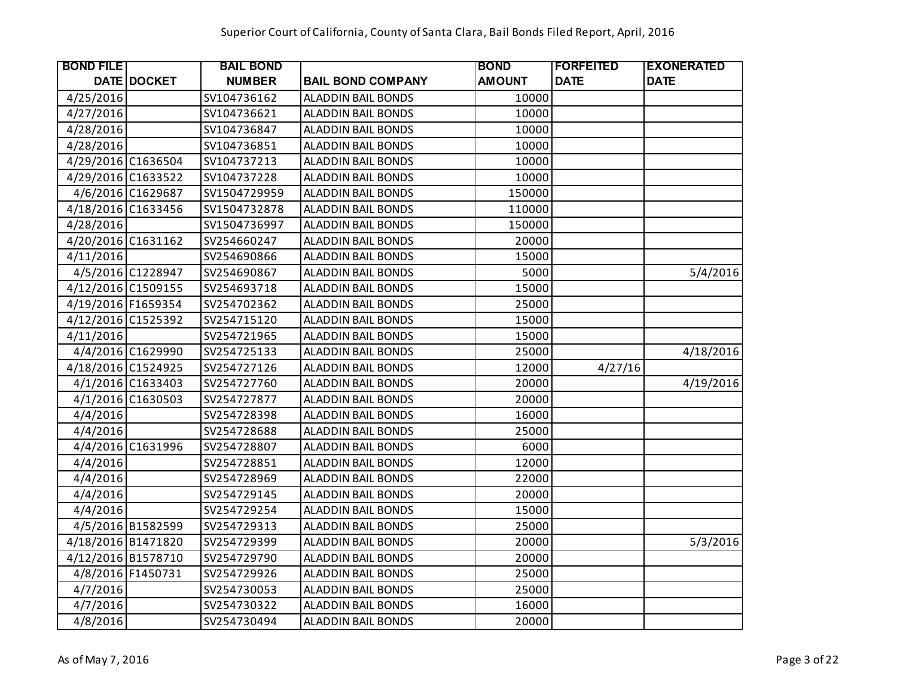| <b>BOND FILE</b>   |                    | <b>BAIL BOND</b> |                           | <b>BOND</b>   | <b> FORFEITED</b> | <b>EXONERATED</b> |
|--------------------|--------------------|------------------|---------------------------|---------------|-------------------|-------------------|
|                    | <b>DATE DOCKET</b> | <b>NUMBER</b>    | <b>BAIL BOND COMPANY</b>  | <b>AMOUNT</b> | <b>DATE</b>       | <b>DATE</b>       |
| 4/25/2016          |                    | SV104736162      | <b>ALADDIN BAIL BONDS</b> | 10000         |                   |                   |
| 4/27/2016          |                    | SV104736621      | <b>ALADDIN BAIL BONDS</b> | 10000         |                   |                   |
| 4/28/2016          |                    | SV104736847      | ALADDIN BAIL BONDS        | 10000         |                   |                   |
| 4/28/2016          |                    | SV104736851      | ALADDIN BAIL BONDS        | 10000         |                   |                   |
| 4/29/2016 C1636504 |                    | SV104737213      | <b>ALADDIN BAIL BONDS</b> | 10000         |                   |                   |
| 4/29/2016 C1633522 |                    | SV104737228      | <b>ALADDIN BAIL BONDS</b> | 10000         |                   |                   |
|                    | 4/6/2016 C1629687  | SV1504729959     | ALADDIN BAIL BONDS        | 150000        |                   |                   |
| 4/18/2016 C1633456 |                    | SV1504732878     | ALADDIN BAIL BONDS        | 110000        |                   |                   |
| 4/28/2016          |                    | SV1504736997     | <b>ALADDIN BAIL BONDS</b> | 150000        |                   |                   |
| 4/20/2016 C1631162 |                    | SV254660247      | ALADDIN BAIL BONDS        | 20000         |                   |                   |
| 4/11/2016          |                    | SV254690866      | ALADDIN BAIL BONDS        | 15000         |                   |                   |
|                    | 4/5/2016 C1228947  | SV254690867      | ALADDIN BAIL BONDS        | 5000          |                   | 5/4/2016          |
| 4/12/2016 C1509155 |                    | SV254693718      | <b>ALADDIN BAIL BONDS</b> | 15000         |                   |                   |
| 4/19/2016 F1659354 |                    | SV254702362      | ALADDIN BAIL BONDS        | 25000         |                   |                   |
| 4/12/2016 C1525392 |                    | SV254715120      | <b>ALADDIN BAIL BONDS</b> | 15000         |                   |                   |
| 4/11/2016          |                    | SV254721965      | <b>ALADDIN BAIL BONDS</b> | 15000         |                   |                   |
|                    | 4/4/2016 C1629990  | SV254725133      | ALADDIN BAIL BONDS        | 25000         |                   | 4/18/2016         |
| 4/18/2016 C1524925 |                    | SV254727126      | <b>ALADDIN BAIL BONDS</b> | 12000         | 4/27/16           |                   |
|                    | 4/1/2016 C1633403  | SV254727760      | <b>ALADDIN BAIL BONDS</b> | 20000         |                   | 4/19/2016         |
|                    | 4/1/2016 C1630503  | SV254727877      | <b>ALADDIN BAIL BONDS</b> | 20000         |                   |                   |
| 4/4/2016           |                    | SV254728398      | <b>ALADDIN BAIL BONDS</b> | 16000         |                   |                   |
| 4/4/2016           |                    | SV254728688      | <b>ALADDIN BAIL BONDS</b> | 25000         |                   |                   |
|                    | 4/4/2016 C1631996  | SV254728807      | <b>ALADDIN BAIL BONDS</b> | 6000          |                   |                   |
| 4/4/2016           |                    | SV254728851      | ALADDIN BAIL BONDS        | 12000         |                   |                   |
| 4/4/2016           |                    | SV254728969      | <b>ALADDIN BAIL BONDS</b> | 22000         |                   |                   |
| 4/4/2016           |                    | SV254729145      | ALADDIN BAIL BONDS        | 20000         |                   |                   |
| 4/4/2016           |                    | SV254729254      | <b>ALADDIN BAIL BONDS</b> | 15000         |                   |                   |
|                    | 4/5/2016 B1582599  | SV254729313      | ALADDIN BAIL BONDS        | 25000         |                   |                   |
| 4/18/2016 B1471820 |                    | SV254729399      | <b>ALADDIN BAIL BONDS</b> | 20000         |                   | 5/3/2016          |
| 4/12/2016 B1578710 |                    | SV254729790      | ALADDIN BAIL BONDS        | 20000         |                   |                   |
|                    | 4/8/2016 F1450731  | SV254729926      | ALADDIN BAIL BONDS        | 25000         |                   |                   |
| 4/7/2016           |                    | SV254730053      | ALADDIN BAIL BONDS        | 25000         |                   |                   |
| 4/7/2016           |                    | SV254730322      | ALADDIN BAIL BONDS        | 16000         |                   |                   |
| 4/8/2016           |                    | SV254730494      | <b>ALADDIN BAIL BONDS</b> | 20000         |                   |                   |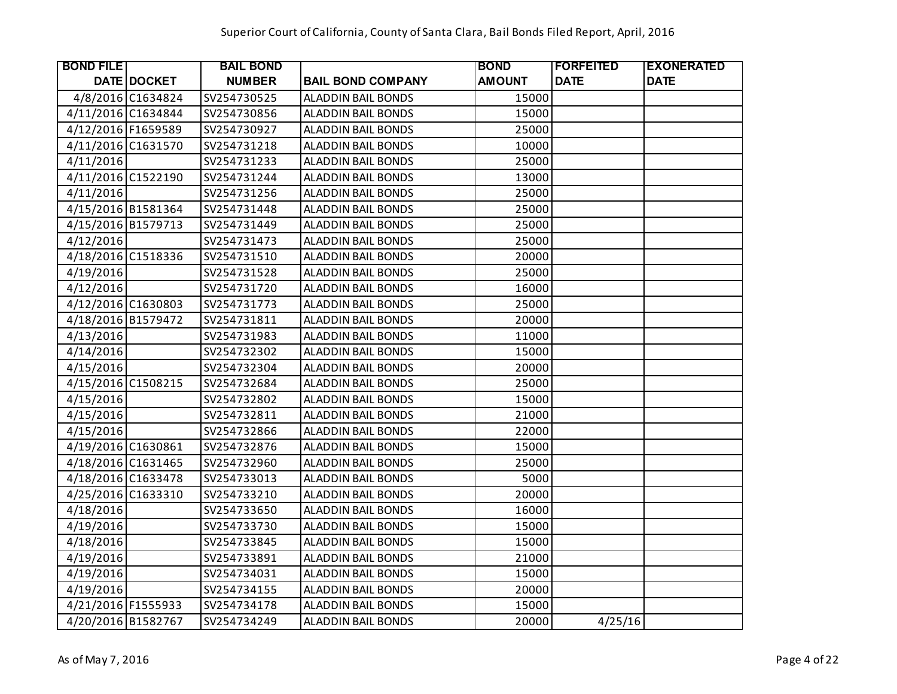| <b>BOND FILE</b>   |                    | <b>BAIL BOND</b> |                           | <b>BOND</b>   | <b>FORFEITED</b> | <b>EXONERATED</b> |
|--------------------|--------------------|------------------|---------------------------|---------------|------------------|-------------------|
|                    | <b>DATE DOCKET</b> | <b>NUMBER</b>    | <b>BAIL BOND COMPANY</b>  | <b>AMOUNT</b> | <b>DATE</b>      | <b>DATE</b>       |
|                    | 4/8/2016 C1634824  | SV254730525      | <b>ALADDIN BAIL BONDS</b> | 15000         |                  |                   |
| 4/11/2016 C1634844 |                    | SV254730856      | <b>ALADDIN BAIL BONDS</b> | 15000         |                  |                   |
| 4/12/2016 F1659589 |                    | SV254730927      | ALADDIN BAIL BONDS        | 25000         |                  |                   |
| 4/11/2016 C1631570 |                    | SV254731218      | ALADDIN BAIL BONDS        | 10000         |                  |                   |
| 4/11/2016          |                    | SV254731233      | ALADDIN BAIL BONDS        | 25000         |                  |                   |
| 4/11/2016 C1522190 |                    | SV254731244      | <b>ALADDIN BAIL BONDS</b> | 13000         |                  |                   |
| 4/11/2016          |                    | SV254731256      | <b>ALADDIN BAIL BONDS</b> | 25000         |                  |                   |
| 4/15/2016 B1581364 |                    | SV254731448      | ALADDIN BAIL BONDS        | 25000         |                  |                   |
| 4/15/2016 B1579713 |                    | SV254731449      | ALADDIN BAIL BONDS        | 25000         |                  |                   |
| 4/12/2016          |                    | SV254731473      | <b>ALADDIN BAIL BONDS</b> | 25000         |                  |                   |
| 4/18/2016 C1518336 |                    | SV254731510      | ALADDIN BAIL BONDS        | 20000         |                  |                   |
| 4/19/2016          |                    | SV254731528      | <b>ALADDIN BAIL BONDS</b> | 25000         |                  |                   |
| 4/12/2016          |                    | SV254731720      | <b>ALADDIN BAIL BONDS</b> | 16000         |                  |                   |
| 4/12/2016 C1630803 |                    | SV254731773      | ALADDIN BAIL BONDS        | 25000         |                  |                   |
| 4/18/2016 B1579472 |                    | SV254731811      | ALADDIN BAIL BONDS        | 20000         |                  |                   |
| 4/13/2016          |                    | SV254731983      | ALADDIN BAIL BONDS        | 11000         |                  |                   |
| 4/14/2016          |                    | SV254732302      | ALADDIN BAIL BONDS        | 15000         |                  |                   |
| 4/15/2016          |                    | SV254732304      | <b>ALADDIN BAIL BONDS</b> | 20000         |                  |                   |
| 4/15/2016 C1508215 |                    | SV254732684      | <b>ALADDIN BAIL BONDS</b> | 25000         |                  |                   |
| 4/15/2016          |                    | SV254732802      | ALADDIN BAIL BONDS        | 15000         |                  |                   |
| 4/15/2016          |                    | SV254732811      | ALADDIN BAIL BONDS        | 21000         |                  |                   |
| 4/15/2016          |                    | SV254732866      | <b>ALADDIN BAIL BONDS</b> | 22000         |                  |                   |
| 4/19/2016 C1630861 |                    | SV254732876      | <b>ALADDIN BAIL BONDS</b> | 15000         |                  |                   |
| 4/18/2016 C1631465 |                    | SV254732960      | <b>ALADDIN BAIL BONDS</b> | 25000         |                  |                   |
| 4/18/2016 C1633478 |                    | SV254733013      | <b>ALADDIN BAIL BONDS</b> | 5000          |                  |                   |
| 4/25/2016 C1633310 |                    | SV254733210      | ALADDIN BAIL BONDS        | 20000         |                  |                   |
| 4/18/2016          |                    | SV254733650      | ALADDIN BAIL BONDS        | 16000         |                  |                   |
| 4/19/2016          |                    | SV254733730      | ALADDIN BAIL BONDS        | 15000         |                  |                   |
| 4/18/2016          |                    | SV254733845      | ALADDIN BAIL BONDS        | 15000         |                  |                   |
| 4/19/2016          |                    | SV254733891      | <b>ALADDIN BAIL BONDS</b> | 21000         |                  |                   |
| 4/19/2016          |                    | SV254734031      | ALADDIN BAIL BONDS        | 15000         |                  |                   |
| 4/19/2016          |                    | SV254734155      | ALADDIN BAIL BONDS        | 20000         |                  |                   |
| 4/21/2016 F1555933 |                    | SV254734178      | ALADDIN BAIL BONDS        | 15000         |                  |                   |
| 4/20/2016 B1582767 |                    | SV254734249      | <b>ALADDIN BAIL BONDS</b> | 20000         | 4/25/16          |                   |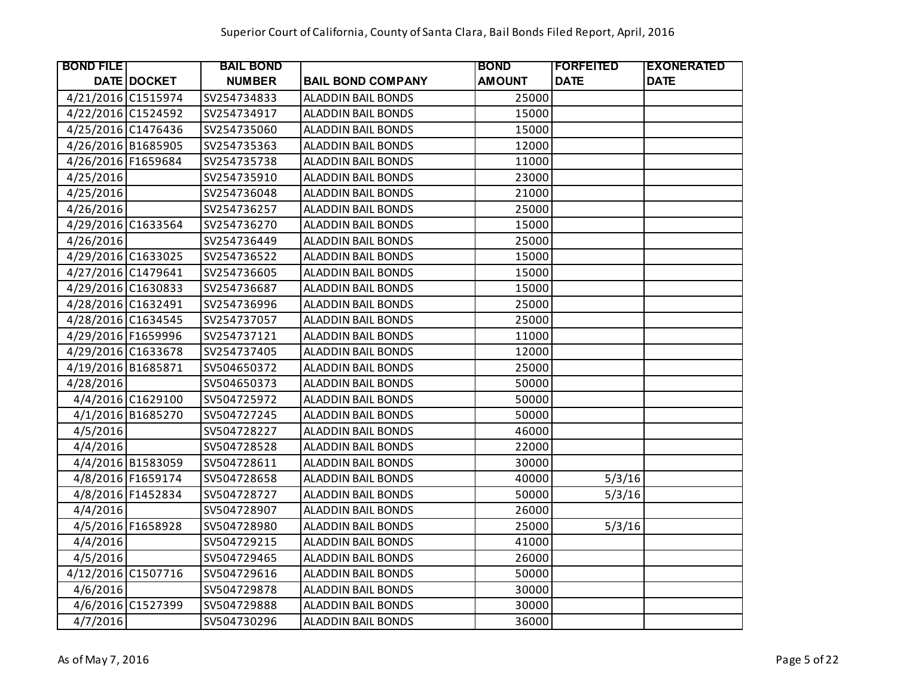| <b>BOND FILE</b>   |                   | <b>BAIL BOND</b> |                           | <b>BOND</b>   | <b>IFORFEITED</b> | <b>EXONERATED</b> |
|--------------------|-------------------|------------------|---------------------------|---------------|-------------------|-------------------|
|                    | DATE DOCKET       | <b>NUMBER</b>    | <b>BAIL BOND COMPANY</b>  | <b>AMOUNT</b> | <b>DATE</b>       | <b>DATE</b>       |
| 4/21/2016 C1515974 |                   | SV254734833      | <b>ALADDIN BAIL BONDS</b> | 25000         |                   |                   |
| 4/22/2016 C1524592 |                   | SV254734917      | <b>ALADDIN BAIL BONDS</b> | 15000         |                   |                   |
| 4/25/2016 C1476436 |                   | SV254735060      | ALADDIN BAIL BONDS        | 15000         |                   |                   |
| 4/26/2016 B1685905 |                   | SV254735363      | <b>ALADDIN BAIL BONDS</b> | 12000         |                   |                   |
| 4/26/2016 F1659684 |                   | SV254735738      | <b>ALADDIN BAIL BONDS</b> | 11000         |                   |                   |
| 4/25/2016          |                   | SV254735910      | ALADDIN BAIL BONDS        | 23000         |                   |                   |
| 4/25/2016          |                   | SV254736048      | <b>ALADDIN BAIL BONDS</b> | 21000         |                   |                   |
| 4/26/2016          |                   | SV254736257      | ALADDIN BAIL BONDS        | 25000         |                   |                   |
| 4/29/2016 C1633564 |                   | SV254736270      | <b>ALADDIN BAIL BONDS</b> | 15000         |                   |                   |
| 4/26/2016          |                   | SV254736449      | <b>ALADDIN BAIL BONDS</b> | 25000         |                   |                   |
| 4/29/2016 C1633025 |                   | SV254736522      | <b>ALADDIN BAIL BONDS</b> | 15000         |                   |                   |
| 4/27/2016 C1479641 |                   | SV254736605      | <b>ALADDIN BAIL BONDS</b> | 15000         |                   |                   |
| 4/29/2016 C1630833 |                   | SV254736687      | ALADDIN BAIL BONDS        | 15000         |                   |                   |
| 4/28/2016 C1632491 |                   | SV254736996      | <b>ALADDIN BAIL BONDS</b> | 25000         |                   |                   |
| 4/28/2016 C1634545 |                   | SV254737057      | <b>ALADDIN BAIL BONDS</b> | 25000         |                   |                   |
| 4/29/2016 F1659996 |                   | SV254737121      | <b>ALADDIN BAIL BONDS</b> | 11000         |                   |                   |
| 4/29/2016 C1633678 |                   | SV254737405      | <b>ALADDIN BAIL BONDS</b> | 12000         |                   |                   |
| 4/19/2016 B1685871 |                   | SV504650372      | <b>ALADDIN BAIL BONDS</b> | 25000         |                   |                   |
| 4/28/2016          |                   | SV504650373      | <b>ALADDIN BAIL BONDS</b> | 50000         |                   |                   |
|                    | 4/4/2016 C1629100 | SV504725972      | <b>ALADDIN BAIL BONDS</b> | 50000         |                   |                   |
|                    | 4/1/2016 B1685270 | SV504727245      | <b>ALADDIN BAIL BONDS</b> | 50000         |                   |                   |
| 4/5/2016           |                   | SV504728227      | ALADDIN BAIL BONDS        | 46000         |                   |                   |
| 4/4/2016           |                   | SV504728528      | <b>ALADDIN BAIL BONDS</b> | 22000         |                   |                   |
|                    | 4/4/2016 B1583059 | SV504728611      | <b>ALADDIN BAIL BONDS</b> | 30000         |                   |                   |
|                    | 4/8/2016 F1659174 | SV504728658      | <b>ALADDIN BAIL BONDS</b> | 40000         | 5/3/16            |                   |
|                    | 4/8/2016 F1452834 | SV504728727      | <b>ALADDIN BAIL BONDS</b> | 50000         | 5/3/16            |                   |
| 4/4/2016           |                   | SV504728907      | <b>ALADDIN BAIL BONDS</b> | 26000         |                   |                   |
|                    | 4/5/2016 F1658928 | SV504728980      | <b>ALADDIN BAIL BONDS</b> | 25000         | 5/3/16            |                   |
| 4/4/2016           |                   | SV504729215      | ALADDIN BAIL BONDS        | 41000         |                   |                   |
| 4/5/2016           |                   | SV504729465      | <b>ALADDIN BAIL BONDS</b> | 26000         |                   |                   |
| 4/12/2016 C1507716 |                   | SV504729616      | <b>ALADDIN BAIL BONDS</b> | 50000         |                   |                   |
| 4/6/2016           |                   | SV504729878      | ALADDIN BAIL BONDS        | 30000         |                   |                   |
|                    | 4/6/2016 C1527399 | SV504729888      | ALADDIN BAIL BONDS        | 30000         |                   |                   |
| 4/7/2016           |                   | SV504730296      | <b>ALADDIN BAIL BONDS</b> | 36000         |                   |                   |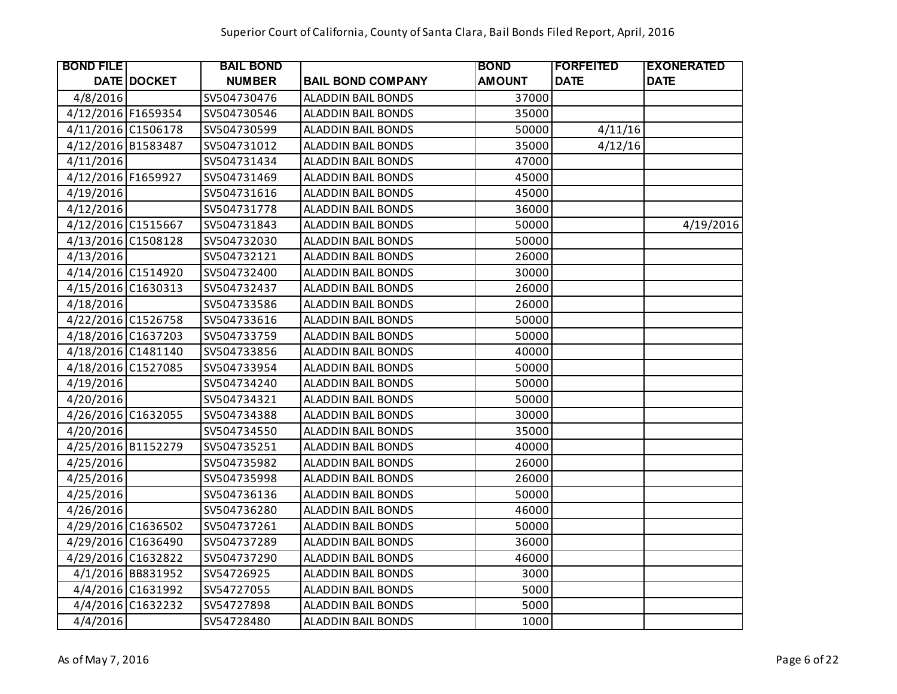| <b>BOND FILE</b>   |                   | <b>BAIL BOND</b> |                           | <b>BOND</b>   | <b> FORFEITED</b> | <b>EXONERATED</b> |
|--------------------|-------------------|------------------|---------------------------|---------------|-------------------|-------------------|
|                    | DATE DOCKET       | <b>NUMBER</b>    | <b>BAIL BOND COMPANY</b>  | <b>AMOUNT</b> | <b>DATE</b>       | <b>DATE</b>       |
| 4/8/2016           |                   | SV504730476      | ALADDIN BAIL BONDS        | 37000         |                   |                   |
| 4/12/2016 F1659354 |                   | SV504730546      | ALADDIN BAIL BONDS        | 35000         |                   |                   |
| 4/11/2016 C1506178 |                   | SV504730599      | ALADDIN BAIL BONDS        | 50000         | 4/11/16           |                   |
| 4/12/2016 B1583487 |                   | SV504731012      | <b>ALADDIN BAIL BONDS</b> | 35000         | 4/12/16           |                   |
| 4/11/2016          |                   | SV504731434      | ALADDIN BAIL BONDS        | 47000         |                   |                   |
| 4/12/2016 F1659927 |                   | SV504731469      | ALADDIN BAIL BONDS        | 45000         |                   |                   |
| 4/19/2016          |                   | SV504731616      | ALADDIN BAIL BONDS        | 45000         |                   |                   |
| 4/12/2016          |                   | SV504731778      | ALADDIN BAIL BONDS        | 36000         |                   |                   |
| 4/12/2016 C1515667 |                   | SV504731843      | ALADDIN BAIL BONDS        | 50000         |                   | 4/19/2016         |
| 4/13/2016 C1508128 |                   | SV504732030      | ALADDIN BAIL BONDS        | 50000         |                   |                   |
| 4/13/2016          |                   | SV504732121      | <b>ALADDIN BAIL BONDS</b> | 26000         |                   |                   |
| 4/14/2016 C1514920 |                   | SV504732400      | <b>ALADDIN BAIL BONDS</b> | 30000         |                   |                   |
| 4/15/2016 C1630313 |                   | SV504732437      | ALADDIN BAIL BONDS        | 26000         |                   |                   |
| 4/18/2016          |                   | SV504733586      | ALADDIN BAIL BONDS        | 26000         |                   |                   |
| 4/22/2016 C1526758 |                   | SV504733616      | <b>ALADDIN BAIL BONDS</b> | 50000         |                   |                   |
| 4/18/2016 C1637203 |                   | SV504733759      | <b>ALADDIN BAIL BONDS</b> | 50000         |                   |                   |
| 4/18/2016 C1481140 |                   | SV504733856      | ALADDIN BAIL BONDS        | 40000         |                   |                   |
| 4/18/2016 C1527085 |                   | SV504733954      | <b>ALADDIN BAIL BONDS</b> | 50000         |                   |                   |
| 4/19/2016          |                   | SV504734240      | ALADDIN BAIL BONDS        | 50000         |                   |                   |
| 4/20/2016          |                   | SV504734321      | <b>ALADDIN BAIL BONDS</b> | 50000         |                   |                   |
| 4/26/2016 C1632055 |                   | SV504734388      | ALADDIN BAIL BONDS        | 30000         |                   |                   |
| 4/20/2016          |                   | SV504734550      | ALADDIN BAIL BONDS        | 35000         |                   |                   |
| 4/25/2016 B1152279 |                   | SV504735251      | ALADDIN BAIL BONDS        | 40000         |                   |                   |
| 4/25/2016          |                   | SV504735982      | <b>ALADDIN BAIL BONDS</b> | 26000         |                   |                   |
| 4/25/2016          |                   | SV504735998      | <b>ALADDIN BAIL BONDS</b> | 26000         |                   |                   |
| 4/25/2016          |                   | SV504736136      | <b>ALADDIN BAIL BONDS</b> | 50000         |                   |                   |
| 4/26/2016          |                   | SV504736280      | ALADDIN BAIL BONDS        | 46000         |                   |                   |
| 4/29/2016 C1636502 |                   | SV504737261      | <b>ALADDIN BAIL BONDS</b> | 50000         |                   |                   |
| 4/29/2016 C1636490 |                   | SV504737289      | ALADDIN BAIL BONDS        | 36000         |                   |                   |
| 4/29/2016 C1632822 |                   | SV504737290      | <b>ALADDIN BAIL BONDS</b> | 46000         |                   |                   |
|                    | 4/1/2016 BB831952 | SV54726925       | <b>ALADDIN BAIL BONDS</b> | 3000          |                   |                   |
|                    | 4/4/2016 C1631992 | SV54727055       | ALADDIN BAIL BONDS        | 5000          |                   |                   |
|                    | 4/4/2016 C1632232 | SV54727898       | ALADDIN BAIL BONDS        | 5000          |                   |                   |
| 4/4/2016           |                   | SV54728480       | <b>ALADDIN BAIL BONDS</b> | 1000          |                   |                   |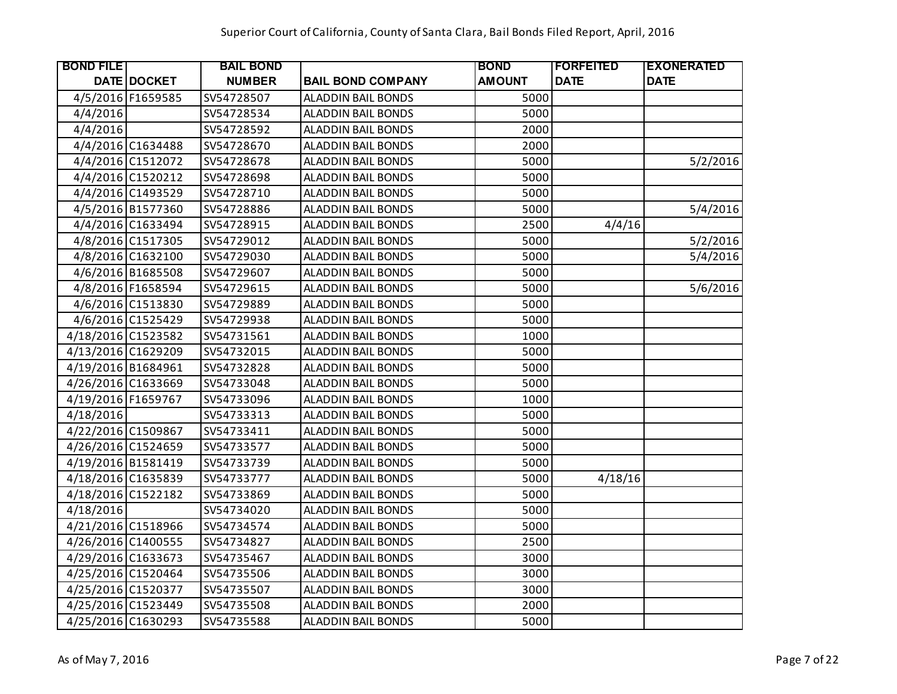| <b>BOND FILE</b>   |                    | <b>BAIL BOND</b> |                           | <b>BOND</b>   | <b> FORFEITED</b> | <b>EXONERATED</b> |
|--------------------|--------------------|------------------|---------------------------|---------------|-------------------|-------------------|
|                    | <b>DATE DOCKET</b> | <b>NUMBER</b>    | <b>BAIL BOND COMPANY</b>  | <b>AMOUNT</b> | <b>DATE</b>       | <b>DATE</b>       |
|                    | 4/5/2016 F1659585  | SV54728507       | ALADDIN BAIL BONDS        | 5000          |                   |                   |
| 4/4/2016           |                    | SV54728534       | ALADDIN BAIL BONDS        | 5000          |                   |                   |
| 4/4/2016           |                    | SV54728592       | <b>ALADDIN BAIL BONDS</b> | 2000          |                   |                   |
|                    | 4/4/2016 C1634488  | SV54728670       | <b>ALADDIN BAIL BONDS</b> | 2000          |                   |                   |
|                    | 4/4/2016 C1512072  | SV54728678       | ALADDIN BAIL BONDS        | 5000          |                   | 5/2/2016          |
|                    | 4/4/2016 C1520212  | SV54728698       | ALADDIN BAIL BONDS        | 5000          |                   |                   |
|                    | 4/4/2016 C1493529  | SV54728710       | ALADDIN BAIL BONDS        | 5000          |                   |                   |
|                    | 4/5/2016 B1577360  | SV54728886       | ALADDIN BAIL BONDS        | 5000          |                   | 5/4/2016          |
|                    | 4/4/2016 C1633494  | SV54728915       | <b>ALADDIN BAIL BONDS</b> | 2500          | 4/4/16            |                   |
|                    | 4/8/2016 C1517305  | SV54729012       | ALADDIN BAIL BONDS        | 5000          |                   | 5/2/2016          |
|                    | 4/8/2016 C1632100  | SV54729030       | ALADDIN BAIL BONDS        | 5000          |                   | 5/4/2016          |
|                    | 4/6/2016 B1685508  | SV54729607       | ALADDIN BAIL BONDS        | 5000          |                   |                   |
|                    | 4/8/2016 F1658594  | SV54729615       | ALADDIN BAIL BONDS        | 5000          |                   | 5/6/2016          |
|                    | 4/6/2016 C1513830  | SV54729889       | ALADDIN BAIL BONDS        | 5000          |                   |                   |
|                    | 4/6/2016 C1525429  | SV54729938       | <b>ALADDIN BAIL BONDS</b> | 5000          |                   |                   |
| 4/18/2016 C1523582 |                    | SV54731561       | <b>ALADDIN BAIL BONDS</b> | 1000          |                   |                   |
| 4/13/2016 C1629209 |                    | SV54732015       | ALADDIN BAIL BONDS        | 5000          |                   |                   |
| 4/19/2016 B1684961 |                    | SV54732828       | <b>ALADDIN BAIL BONDS</b> | 5000          |                   |                   |
| 4/26/2016 C1633669 |                    | SV54733048       | <b>ALADDIN BAIL BONDS</b> | 5000          |                   |                   |
| 4/19/2016 F1659767 |                    | SV54733096       | <b>ALADDIN BAIL BONDS</b> | 1000          |                   |                   |
| 4/18/2016          |                    | SV54733313       | ALADDIN BAIL BONDS        | 5000          |                   |                   |
| 4/22/2016 C1509867 |                    | SV54733411       | ALADDIN BAIL BONDS        | 5000          |                   |                   |
| 4/26/2016 C1524659 |                    | SV54733577       | <b>ALADDIN BAIL BONDS</b> | 5000          |                   |                   |
| 4/19/2016 B1581419 |                    | SV54733739       | <b>ALADDIN BAIL BONDS</b> | 5000          |                   |                   |
| 4/18/2016 C1635839 |                    | SV54733777       | <b>ALADDIN BAIL BONDS</b> | 5000          | 4/18/16           |                   |
| 4/18/2016 C1522182 |                    | SV54733869       | <b>ALADDIN BAIL BONDS</b> | 5000          |                   |                   |
| 4/18/2016          |                    | SV54734020       | ALADDIN BAIL BONDS        | 5000          |                   |                   |
| 4/21/2016 C1518966 |                    | SV54734574       | ALADDIN BAIL BONDS        | 5000          |                   |                   |
| 4/26/2016 C1400555 |                    | SV54734827       | ALADDIN BAIL BONDS        | 2500          |                   |                   |
| 4/29/2016 C1633673 |                    | SV54735467       | <b>ALADDIN BAIL BONDS</b> | 3000          |                   |                   |
| 4/25/2016 C1520464 |                    | SV54735506       | ALADDIN BAIL BONDS        | 3000          |                   |                   |
| 4/25/2016 C1520377 |                    | SV54735507       | ALADDIN BAIL BONDS        | 3000          |                   |                   |
| 4/25/2016 C1523449 |                    | SV54735508       | ALADDIN BAIL BONDS        | 2000          |                   |                   |
| 4/25/2016 C1630293 |                    | SV54735588       | <b>ALADDIN BAIL BONDS</b> | 5000          |                   |                   |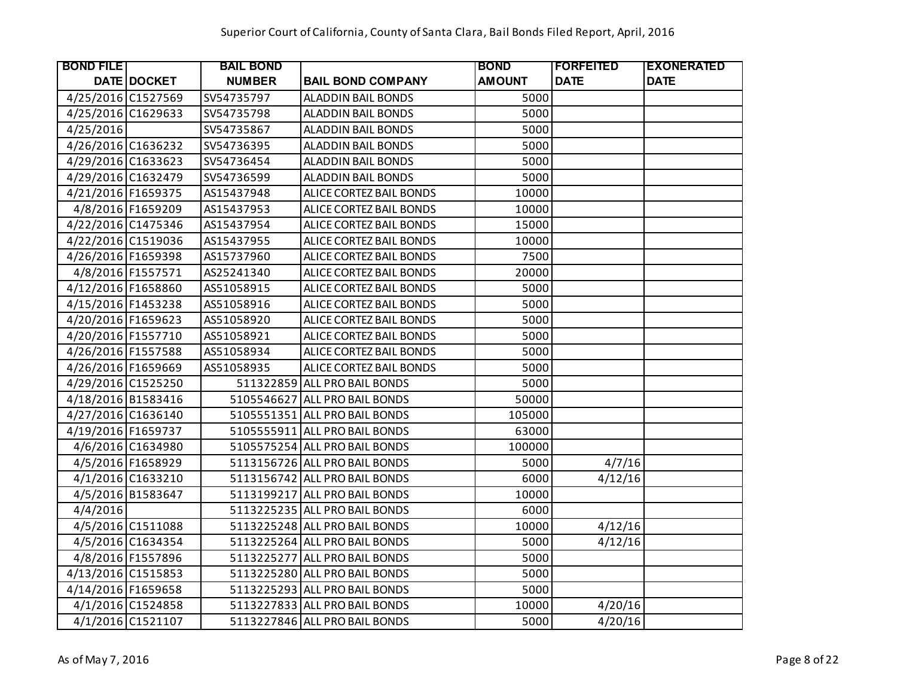| <b>BOND FILE</b>   |                   | <b>BAIL BOND</b> |                               | <b>BOND</b>   | <b>IFORFEITED</b> | <b>EXONERATED</b> |
|--------------------|-------------------|------------------|-------------------------------|---------------|-------------------|-------------------|
|                    | DATE DOCKET       | <b>NUMBER</b>    | <b>BAIL BOND COMPANY</b>      | <b>AMOUNT</b> | <b>DATE</b>       | <b>DATE</b>       |
| 4/25/2016 C1527569 |                   | SV54735797       | <b>ALADDIN BAIL BONDS</b>     | 5000          |                   |                   |
| 4/25/2016 C1629633 |                   | SV54735798       | <b>ALADDIN BAIL BONDS</b>     | 5000          |                   |                   |
| 4/25/2016          |                   | SV54735867       | <b>ALADDIN BAIL BONDS</b>     | 5000          |                   |                   |
| 4/26/2016 C1636232 |                   | SV54736395       | <b>ALADDIN BAIL BONDS</b>     | 5000          |                   |                   |
| 4/29/2016 C1633623 |                   | SV54736454       | <b>ALADDIN BAIL BONDS</b>     | 5000          |                   |                   |
| 4/29/2016 C1632479 |                   | SV54736599       | <b>ALADDIN BAIL BONDS</b>     | 5000          |                   |                   |
| 4/21/2016 F1659375 |                   | AS15437948       | ALICE CORTEZ BAIL BONDS       | 10000         |                   |                   |
|                    | 4/8/2016 F1659209 | AS15437953       | ALICE CORTEZ BAIL BONDS       | 10000         |                   |                   |
| 4/22/2016 C1475346 |                   | AS15437954       | ALICE CORTEZ BAIL BONDS       | 15000         |                   |                   |
| 4/22/2016 C1519036 |                   | AS15437955       | ALICE CORTEZ BAIL BONDS       | 10000         |                   |                   |
| 4/26/2016 F1659398 |                   | AS15737960       | ALICE CORTEZ BAIL BONDS       | 7500          |                   |                   |
|                    | 4/8/2016 F1557571 | AS25241340       | ALICE CORTEZ BAIL BONDS       | 20000         |                   |                   |
| 4/12/2016 F1658860 |                   | AS51058915       | ALICE CORTEZ BAIL BONDS       | 5000          |                   |                   |
| 4/15/2016 F1453238 |                   | AS51058916       | ALICE CORTEZ BAIL BONDS       | 5000          |                   |                   |
| 4/20/2016 F1659623 |                   | AS51058920       | ALICE CORTEZ BAIL BONDS       | 5000          |                   |                   |
| 4/20/2016 F1557710 |                   | AS51058921       | ALICE CORTEZ BAIL BONDS       | 5000          |                   |                   |
| 4/26/2016 F1557588 |                   | AS51058934       | ALICE CORTEZ BAIL BONDS       | 5000          |                   |                   |
| 4/26/2016 F1659669 |                   | AS51058935       | ALICE CORTEZ BAIL BONDS       | 5000          |                   |                   |
| 4/29/2016 C1525250 |                   |                  | 511322859 ALL PRO BAIL BONDS  | 5000          |                   |                   |
| 4/18/2016 B1583416 |                   |                  | 5105546627 ALL PRO BAIL BONDS | 50000         |                   |                   |
| 4/27/2016 C1636140 |                   |                  | 5105551351 ALL PRO BAIL BONDS | 105000        |                   |                   |
| 4/19/2016 F1659737 |                   |                  | 5105555911 ALL PRO BAIL BONDS | 63000         |                   |                   |
|                    | 4/6/2016 C1634980 |                  | 5105575254 ALL PRO BAIL BONDS | 100000        |                   |                   |
|                    | 4/5/2016 F1658929 |                  | 5113156726 ALL PRO BAIL BONDS | 5000          | 4/7/16            |                   |
|                    | 4/1/2016 C1633210 |                  | 5113156742 ALL PRO BAIL BONDS | 6000          | 4/12/16           |                   |
|                    | 4/5/2016 B1583647 |                  | 5113199217 ALL PRO BAIL BONDS | 10000         |                   |                   |
| 4/4/2016           |                   |                  | 5113225235 ALL PRO BAIL BONDS | 6000          |                   |                   |
|                    | 4/5/2016 C1511088 |                  | 5113225248 ALL PRO BAIL BONDS | 10000         | 4/12/16           |                   |
|                    | 4/5/2016 C1634354 |                  | 5113225264 ALL PRO BAIL BONDS | 5000          | 4/12/16           |                   |
|                    | 4/8/2016 F1557896 |                  | 5113225277 ALL PRO BAIL BONDS | 5000          |                   |                   |
| 4/13/2016 C1515853 |                   |                  | 5113225280 ALL PRO BAIL BONDS | 5000          |                   |                   |
| 4/14/2016 F1659658 |                   |                  | 5113225293 ALL PRO BAIL BONDS | 5000          |                   |                   |
|                    | 4/1/2016 C1524858 |                  | 5113227833 ALL PRO BAIL BONDS | 10000         | 4/20/16           |                   |
|                    | 4/1/2016 C1521107 |                  | 5113227846 ALL PRO BAIL BONDS | 5000          | 4/20/16           |                   |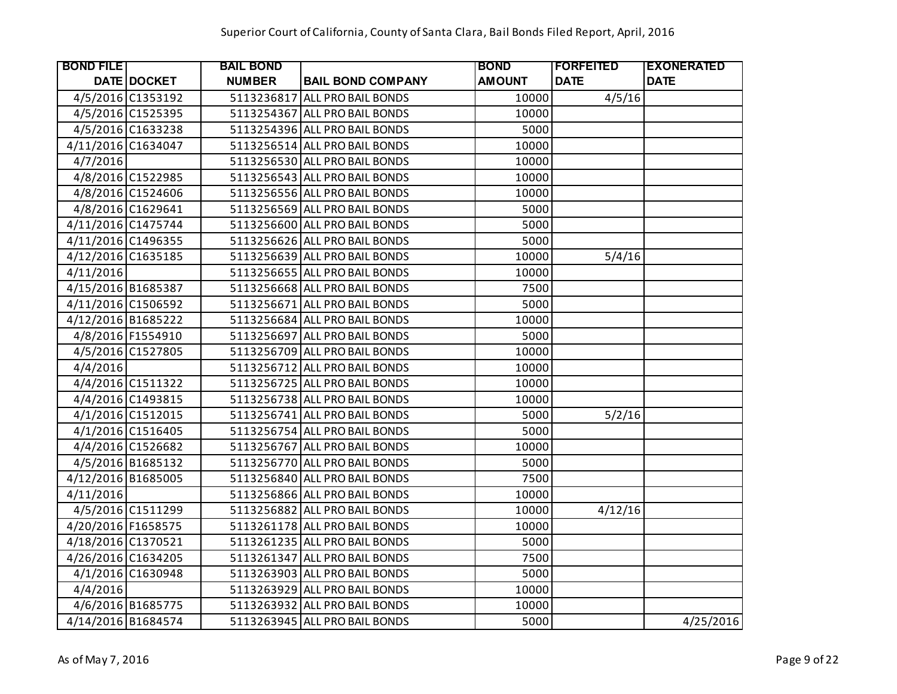| <b>BOND FILE</b>   |                    | <b>BAIL BOND</b> |                               | <b>BOND</b>   | <b> FORFEITED</b> | <b>EXONERATED</b> |
|--------------------|--------------------|------------------|-------------------------------|---------------|-------------------|-------------------|
|                    | <b>DATE DOCKET</b> | <b>NUMBER</b>    | <b>BAIL BOND COMPANY</b>      | <b>AMOUNT</b> | <b>DATE</b>       | <b>DATE</b>       |
|                    | 4/5/2016 C1353192  |                  | 5113236817 ALL PRO BAIL BONDS | 10000         | 4/5/16            |                   |
|                    | 4/5/2016 C1525395  |                  | 5113254367 ALL PRO BAIL BONDS | 10000         |                   |                   |
|                    | 4/5/2016 C1633238  |                  | 5113254396 ALL PRO BAIL BONDS | 5000          |                   |                   |
| 4/11/2016 C1634047 |                    |                  | 5113256514 ALL PRO BAIL BONDS | 10000         |                   |                   |
| 4/7/2016           |                    |                  | 5113256530 ALL PRO BAIL BONDS | 10000         |                   |                   |
|                    | 4/8/2016 C1522985  |                  | 5113256543 ALL PRO BAIL BONDS | 10000         |                   |                   |
|                    | 4/8/2016 C1524606  |                  | 5113256556 ALL PRO BAIL BONDS | 10000         |                   |                   |
|                    | 4/8/2016 C1629641  |                  | 5113256569 ALL PRO BAIL BONDS | 5000          |                   |                   |
| 4/11/2016 C1475744 |                    |                  | 5113256600 ALL PRO BAIL BONDS | 5000          |                   |                   |
| 4/11/2016 C1496355 |                    |                  | 5113256626 ALL PRO BAIL BONDS | 5000          |                   |                   |
| 4/12/2016 C1635185 |                    |                  | 5113256639 ALL PRO BAIL BONDS | 10000         | 5/4/16            |                   |
| 4/11/2016          |                    |                  | 5113256655 ALL PRO BAIL BONDS | 10000         |                   |                   |
| 4/15/2016 B1685387 |                    |                  | 5113256668 ALL PRO BAIL BONDS | 7500          |                   |                   |
| 4/11/2016 C1506592 |                    |                  | 5113256671 ALL PRO BAIL BONDS | 5000          |                   |                   |
| 4/12/2016 B1685222 |                    |                  | 5113256684 ALL PRO BAIL BONDS | 10000         |                   |                   |
|                    | 4/8/2016 F1554910  |                  | 5113256697 ALL PRO BAIL BONDS | 5000          |                   |                   |
|                    | 4/5/2016 C1527805  |                  | 5113256709 ALL PRO BAIL BONDS | 10000         |                   |                   |
| 4/4/2016           |                    |                  | 5113256712 ALL PRO BAIL BONDS | 10000         |                   |                   |
|                    | 4/4/2016 C1511322  |                  | 5113256725 ALL PRO BAIL BONDS | 10000         |                   |                   |
|                    | 4/4/2016 C1493815  |                  | 5113256738 ALL PRO BAIL BONDS | 10000         |                   |                   |
|                    | 4/1/2016 C1512015  |                  | 5113256741 ALL PRO BAIL BONDS | 5000          | 5/2/16            |                   |
|                    | 4/1/2016 C1516405  |                  | 5113256754 ALL PRO BAIL BONDS | 5000          |                   |                   |
|                    | 4/4/2016 C1526682  |                  | 5113256767 ALL PRO BAIL BONDS | 10000         |                   |                   |
|                    | 4/5/2016 B1685132  |                  | 5113256770 ALL PRO BAIL BONDS | 5000          |                   |                   |
| 4/12/2016 B1685005 |                    |                  | 5113256840 ALL PRO BAIL BONDS | 7500          |                   |                   |
| 4/11/2016          |                    |                  | 5113256866 ALL PRO BAIL BONDS | 10000         |                   |                   |
|                    | 4/5/2016 C1511299  |                  | 5113256882 ALL PRO BAIL BONDS | 10000         | 4/12/16           |                   |
| 4/20/2016 F1658575 |                    |                  | 5113261178 ALL PRO BAIL BONDS | 10000         |                   |                   |
| 4/18/2016 C1370521 |                    |                  | 5113261235 ALL PRO BAIL BONDS | 5000          |                   |                   |
| 4/26/2016 C1634205 |                    |                  | 5113261347 ALL PRO BAIL BONDS | 7500          |                   |                   |
|                    | 4/1/2016 C1630948  |                  | 5113263903 ALL PRO BAIL BONDS | 5000          |                   |                   |
| 4/4/2016           |                    |                  | 5113263929 ALL PRO BAIL BONDS | 10000         |                   |                   |
|                    | 4/6/2016 B1685775  |                  | 5113263932 ALL PRO BAIL BONDS | 10000         |                   |                   |
| 4/14/2016 B1684574 |                    |                  | 5113263945 ALL PRO BAIL BONDS | 5000          |                   | 4/25/2016         |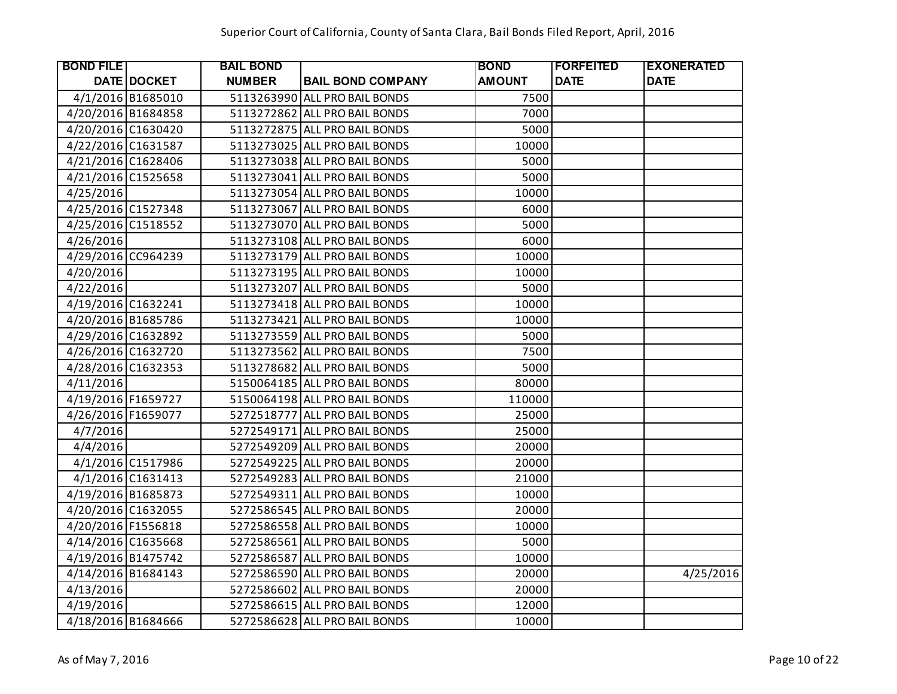| <b>BOND FILE</b>   |                   | <b>BAIL BOND</b> |                               | <b>BOND</b>   | <b>FORFEITED</b> | <b>EXONERATED</b> |
|--------------------|-------------------|------------------|-------------------------------|---------------|------------------|-------------------|
|                    | DATE DOCKET       | <b>NUMBER</b>    | <b>BAIL BOND COMPANY</b>      | <b>AMOUNT</b> | <b>DATE</b>      | <b>DATE</b>       |
|                    | 4/1/2016 B1685010 |                  | 5113263990 ALL PRO BAIL BONDS | 7500          |                  |                   |
| 4/20/2016 B1684858 |                   |                  | 5113272862 ALL PRO BAIL BONDS | 7000          |                  |                   |
| 4/20/2016 C1630420 |                   |                  | 5113272875 ALL PRO BAIL BONDS | 5000          |                  |                   |
| 4/22/2016 C1631587 |                   |                  | 5113273025 ALL PRO BAIL BONDS | 10000         |                  |                   |
| 4/21/2016 C1628406 |                   |                  | 5113273038 ALL PRO BAIL BONDS | 5000          |                  |                   |
| 4/21/2016 C1525658 |                   |                  | 5113273041 ALL PRO BAIL BONDS | 5000          |                  |                   |
| 4/25/2016          |                   |                  | 5113273054 ALL PRO BAIL BONDS | 10000         |                  |                   |
| 4/25/2016 C1527348 |                   |                  | 5113273067 ALL PRO BAIL BONDS | 6000          |                  |                   |
| 4/25/2016 C1518552 |                   |                  | 5113273070 ALL PRO BAIL BONDS | 5000          |                  |                   |
| 4/26/2016          |                   |                  | 5113273108 ALL PRO BAIL BONDS | 6000          |                  |                   |
| 4/29/2016 CC964239 |                   |                  | 5113273179 ALL PRO BAIL BONDS | 10000         |                  |                   |
| 4/20/2016          |                   |                  | 5113273195 ALL PRO BAIL BONDS | 10000         |                  |                   |
| 4/22/2016          |                   |                  | 5113273207 ALL PRO BAIL BONDS | 5000          |                  |                   |
| 4/19/2016 C1632241 |                   |                  | 5113273418 ALL PRO BAIL BONDS | 10000         |                  |                   |
| 4/20/2016 B1685786 |                   |                  | 5113273421 ALL PRO BAIL BONDS | 10000         |                  |                   |
| 4/29/2016 C1632892 |                   |                  | 5113273559 ALL PRO BAIL BONDS | 5000          |                  |                   |
| 4/26/2016 C1632720 |                   |                  | 5113273562 ALL PRO BAIL BONDS | 7500          |                  |                   |
| 4/28/2016 C1632353 |                   |                  | 5113278682 ALL PRO BAIL BONDS | 5000          |                  |                   |
| 4/11/2016          |                   |                  | 5150064185 ALL PRO BAIL BONDS | 80000         |                  |                   |
| 4/19/2016 F1659727 |                   |                  | 5150064198 ALL PRO BAIL BONDS | 110000        |                  |                   |
| 4/26/2016 F1659077 |                   |                  | 5272518777 ALL PRO BAIL BONDS | 25000         |                  |                   |
| 4/7/2016           |                   |                  | 5272549171 ALL PRO BAIL BONDS | 25000         |                  |                   |
| 4/4/2016           |                   |                  | 5272549209 ALL PRO BAIL BONDS | 20000         |                  |                   |
|                    | 4/1/2016 C1517986 |                  | 5272549225 ALL PRO BAIL BONDS | 20000         |                  |                   |
|                    | 4/1/2016 C1631413 |                  | 5272549283 ALL PRO BAIL BONDS | 21000         |                  |                   |
| 4/19/2016 B1685873 |                   |                  | 5272549311 ALL PRO BAIL BONDS | 10000         |                  |                   |
| 4/20/2016 C1632055 |                   |                  | 5272586545 ALL PRO BAIL BONDS | 20000         |                  |                   |
| 4/20/2016 F1556818 |                   |                  | 5272586558 ALL PRO BAIL BONDS | 10000         |                  |                   |
| 4/14/2016 C1635668 |                   |                  | 5272586561 ALL PRO BAIL BONDS | 5000          |                  |                   |
| 4/19/2016 B1475742 |                   |                  | 5272586587 ALL PRO BAIL BONDS | 10000         |                  |                   |
| 4/14/2016 B1684143 |                   |                  | 5272586590 ALL PRO BAIL BONDS | 20000         |                  | 4/25/2016         |
| 4/13/2016          |                   |                  | 5272586602 ALL PRO BAIL BONDS | 20000         |                  |                   |
| 4/19/2016          |                   |                  | 5272586615 ALL PRO BAIL BONDS | 12000         |                  |                   |
| 4/18/2016 B1684666 |                   |                  | 5272586628 ALL PRO BAIL BONDS | 10000         |                  |                   |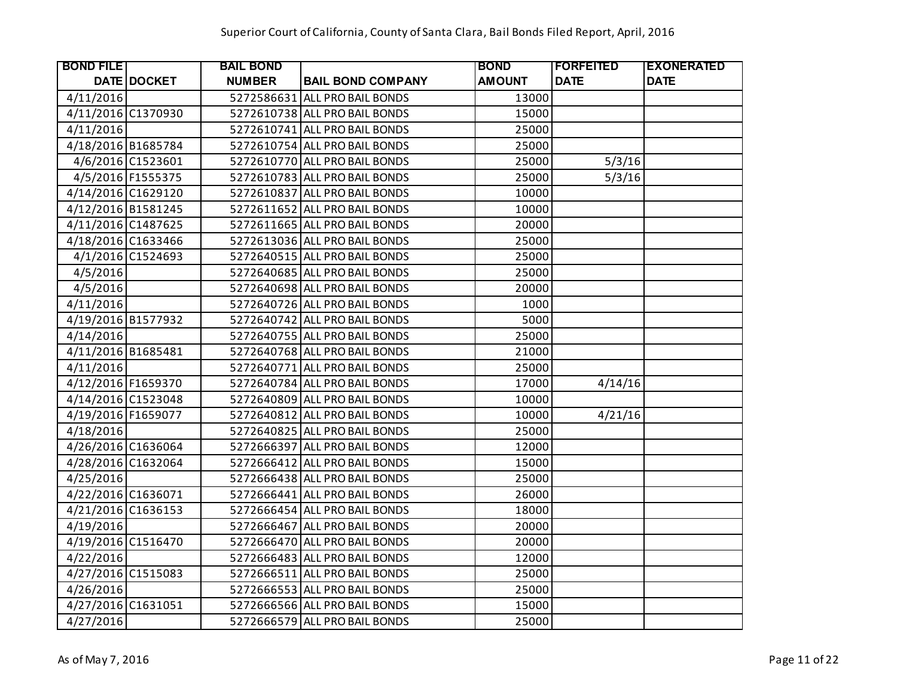| <b>BOND FILE</b>   |                   | <b>BAIL BOND</b> |                               | <b>BOND</b>   | <b> FORFEITED</b> | <b>EXONERATED</b> |
|--------------------|-------------------|------------------|-------------------------------|---------------|-------------------|-------------------|
|                    | DATE DOCKET       | <b>NUMBER</b>    | <b>BAIL BOND COMPANY</b>      | <b>AMOUNT</b> | <b>DATE</b>       | <b>DATE</b>       |
| 4/11/2016          |                   |                  | 5272586631 ALL PRO BAIL BONDS | 13000         |                   |                   |
| 4/11/2016 C1370930 |                   |                  | 5272610738 ALL PRO BAIL BONDS | 15000         |                   |                   |
| 4/11/2016          |                   |                  | 5272610741 ALL PRO BAIL BONDS | 25000         |                   |                   |
| 4/18/2016 B1685784 |                   |                  | 5272610754 ALL PRO BAIL BONDS | 25000         |                   |                   |
|                    | 4/6/2016 C1523601 |                  | 5272610770 ALL PRO BAIL BONDS | 25000         | 5/3/16            |                   |
|                    | 4/5/2016 F1555375 |                  | 5272610783 ALL PRO BAIL BONDS | 25000         | 5/3/16            |                   |
| 4/14/2016 C1629120 |                   |                  | 5272610837 ALL PRO BAIL BONDS | 10000         |                   |                   |
| 4/12/2016 B1581245 |                   |                  | 5272611652 ALL PRO BAIL BONDS | 10000         |                   |                   |
| 4/11/2016 C1487625 |                   |                  | 5272611665 ALL PRO BAIL BONDS | 20000         |                   |                   |
| 4/18/2016 C1633466 |                   |                  | 5272613036 ALL PRO BAIL BONDS | 25000         |                   |                   |
|                    | 4/1/2016 C1524693 |                  | 5272640515 ALL PRO BAIL BONDS | 25000         |                   |                   |
| 4/5/2016           |                   |                  | 5272640685 ALL PRO BAIL BONDS | 25000         |                   |                   |
| 4/5/2016           |                   |                  | 5272640698 ALL PRO BAIL BONDS | 20000         |                   |                   |
| 4/11/2016          |                   |                  | 5272640726 ALL PRO BAIL BONDS | 1000          |                   |                   |
| 4/19/2016 B1577932 |                   |                  | 5272640742 ALL PRO BAIL BONDS | 5000          |                   |                   |
| 4/14/2016          |                   |                  | 5272640755 ALL PRO BAIL BONDS | 25000         |                   |                   |
| 4/11/2016 B1685481 |                   |                  | 5272640768 ALL PRO BAIL BONDS | 21000         |                   |                   |
| 4/11/2016          |                   |                  | 5272640771 ALL PRO BAIL BONDS | 25000         |                   |                   |
| 4/12/2016 F1659370 |                   |                  | 5272640784 ALL PRO BAIL BONDS | 17000         | 4/14/16           |                   |
| 4/14/2016 C1523048 |                   |                  | 5272640809 ALL PRO BAIL BONDS | 10000         |                   |                   |
| 4/19/2016 F1659077 |                   |                  | 5272640812 ALL PRO BAIL BONDS | 10000         | 4/21/16           |                   |
| 4/18/2016          |                   |                  | 5272640825 ALL PRO BAIL BONDS | 25000         |                   |                   |
| 4/26/2016 C1636064 |                   |                  | 5272666397 ALL PRO BAIL BONDS | 12000         |                   |                   |
| 4/28/2016 C1632064 |                   |                  | 5272666412 ALL PRO BAIL BONDS | 15000         |                   |                   |
| 4/25/2016          |                   |                  | 5272666438 ALL PRO BAIL BONDS | 25000         |                   |                   |
| 4/22/2016 C1636071 |                   |                  | 5272666441 ALL PRO BAIL BONDS | 26000         |                   |                   |
| 4/21/2016 C1636153 |                   |                  | 5272666454 ALL PRO BAIL BONDS | 18000         |                   |                   |
| 4/19/2016          |                   |                  | 5272666467 ALL PRO BAIL BONDS | 20000         |                   |                   |
| 4/19/2016 C1516470 |                   |                  | 5272666470 ALL PRO BAIL BONDS | 20000         |                   |                   |
| 4/22/2016          |                   |                  | 5272666483 ALL PRO BAIL BONDS | 12000         |                   |                   |
| 4/27/2016 C1515083 |                   |                  | 5272666511 ALL PRO BAIL BONDS | 25000         |                   |                   |
| 4/26/2016          |                   |                  | 5272666553 ALL PRO BAIL BONDS | 25000         |                   |                   |
| 4/27/2016 C1631051 |                   |                  | 5272666566 ALL PRO BAIL BONDS | 15000         |                   |                   |
| 4/27/2016          |                   |                  | 5272666579 ALL PRO BAIL BONDS | 25000         |                   |                   |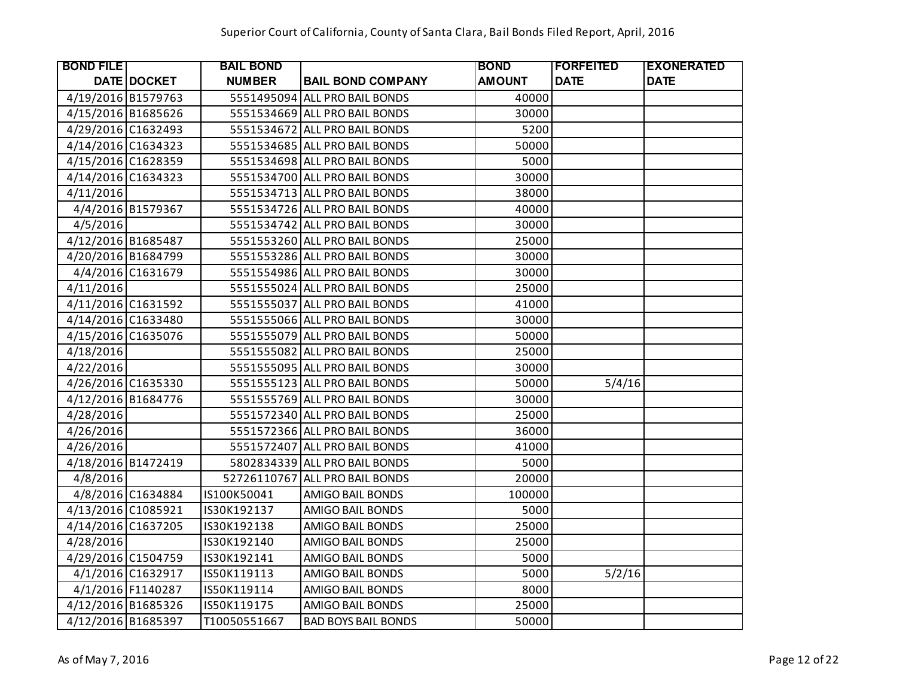| <b>BOND FILE</b>   |                    | <b>BAIL BOND</b> |                                | <b>BOND</b>   | <b>IFORFEITED</b> | <b>EXONERATED</b> |
|--------------------|--------------------|------------------|--------------------------------|---------------|-------------------|-------------------|
|                    | <b>DATE DOCKET</b> | <b>NUMBER</b>    | <b>BAIL BOND COMPANY</b>       | <b>AMOUNT</b> | <b>DATE</b>       | <b>DATE</b>       |
| 4/19/2016 B1579763 |                    |                  | 5551495094 ALL PRO BAIL BONDS  | 40000         |                   |                   |
| 4/15/2016 B1685626 |                    |                  | 5551534669 ALL PRO BAIL BONDS  | 30000         |                   |                   |
| 4/29/2016 C1632493 |                    |                  | 5551534672 ALL PRO BAIL BONDS  | 5200          |                   |                   |
| 4/14/2016 C1634323 |                    |                  | 5551534685 ALL PRO BAIL BONDS  | 50000         |                   |                   |
| 4/15/2016 C1628359 |                    |                  | 5551534698 ALL PRO BAIL BONDS  | 5000          |                   |                   |
| 4/14/2016 C1634323 |                    |                  | 5551534700 ALL PRO BAIL BONDS  | 30000         |                   |                   |
| 4/11/2016          |                    |                  | 5551534713 ALL PRO BAIL BONDS  | 38000         |                   |                   |
|                    | 4/4/2016 B1579367  |                  | 5551534726 ALL PRO BAIL BONDS  | 40000         |                   |                   |
| 4/5/2016           |                    |                  | 5551534742 ALL PRO BAIL BONDS  | 30000         |                   |                   |
| 4/12/2016 B1685487 |                    |                  | 5551553260 ALL PRO BAIL BONDS  | 25000         |                   |                   |
| 4/20/2016 B1684799 |                    |                  | 5551553286 ALL PRO BAIL BONDS  | 30000         |                   |                   |
|                    | 4/4/2016 C1631679  |                  | 5551554986 ALL PRO BAIL BONDS  | 30000         |                   |                   |
| 4/11/2016          |                    |                  | 5551555024 ALL PRO BAIL BONDS  | 25000         |                   |                   |
| 4/11/2016 C1631592 |                    |                  | 5551555037 ALL PRO BAIL BONDS  | 41000         |                   |                   |
| 4/14/2016 C1633480 |                    |                  | 5551555066 ALL PRO BAIL BONDS  | 30000         |                   |                   |
| 4/15/2016 C1635076 |                    |                  | 5551555079 ALL PRO BAIL BONDS  | 50000         |                   |                   |
| 4/18/2016          |                    |                  | 5551555082 ALL PRO BAIL BONDS  | 25000         |                   |                   |
| 4/22/2016          |                    |                  | 5551555095 ALL PRO BAIL BONDS  | 30000         |                   |                   |
| 4/26/2016 C1635330 |                    |                  | 5551555123 ALL PRO BAIL BONDS  | 50000         | 5/4/16            |                   |
| 4/12/2016 B1684776 |                    |                  | 5551555769 ALL PRO BAIL BONDS  | 30000         |                   |                   |
| 4/28/2016          |                    |                  | 5551572340 ALL PRO BAIL BONDS  | 25000         |                   |                   |
| 4/26/2016          |                    |                  | 5551572366 ALL PRO BAIL BONDS  | 36000         |                   |                   |
| 4/26/2016          |                    |                  | 5551572407 ALL PRO BAIL BONDS  | 41000         |                   |                   |
| 4/18/2016 B1472419 |                    |                  | 5802834339 ALL PRO BAIL BONDS  | 5000          |                   |                   |
| 4/8/2016           |                    |                  | 52726110767 ALL PRO BAIL BONDS | 20000         |                   |                   |
|                    | 4/8/2016 C1634884  | IS100K50041      | AMIGO BAIL BONDS               | 100000        |                   |                   |
| 4/13/2016 C1085921 |                    | IS30K192137      | AMIGO BAIL BONDS               | 5000          |                   |                   |
| 4/14/2016 C1637205 |                    | IS30K192138      | AMIGO BAIL BONDS               | 25000         |                   |                   |
| 4/28/2016          |                    | IS30K192140      | AMIGO BAIL BONDS               | 25000         |                   |                   |
| 4/29/2016 C1504759 |                    | IS30K192141      | <b>AMIGO BAIL BONDS</b>        | 5000          |                   |                   |
|                    | 4/1/2016 C1632917  | IS50K119113      | AMIGO BAIL BONDS               | 5000          | 5/2/16            |                   |
|                    | 4/1/2016 F1140287  | IS50K119114      | AMIGO BAIL BONDS               | 8000          |                   |                   |
| 4/12/2016 B1685326 |                    | IS50K119175      | AMIGO BAIL BONDS               | 25000         |                   |                   |
| 4/12/2016 B1685397 |                    | T10050551667     | <b>BAD BOYS BAIL BONDS</b>     | 50000         |                   |                   |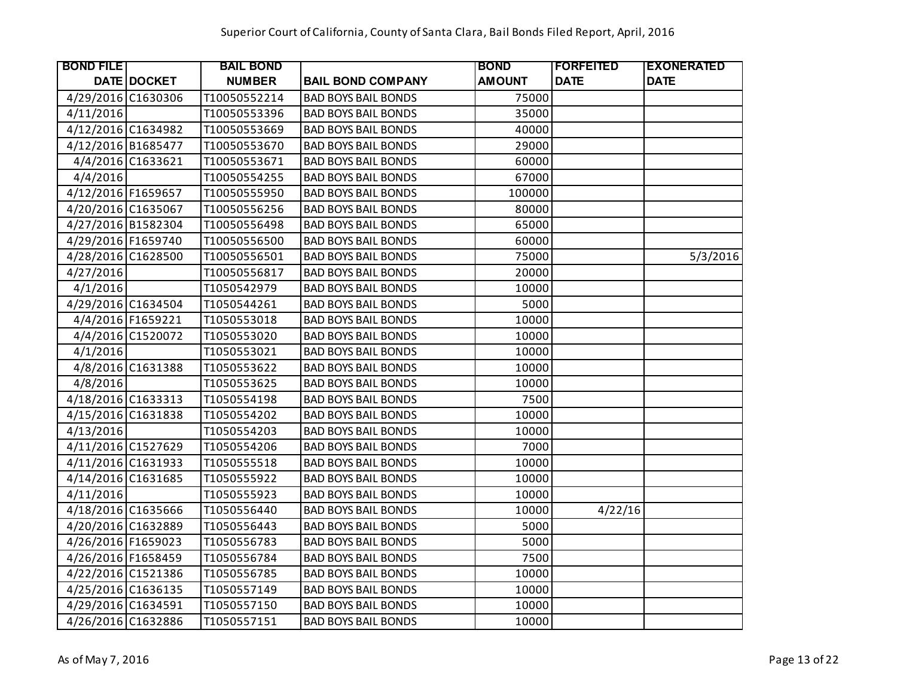| <b>BOND FILE</b>   |                   | <b>BAIL BOND</b> |                            | <b>BOND</b>   | <b> FORFEITED</b> | <b>EXONERATED</b> |
|--------------------|-------------------|------------------|----------------------------|---------------|-------------------|-------------------|
|                    | DATE DOCKET       | <b>NUMBER</b>    | <b>BAIL BOND COMPANY</b>   | <b>AMOUNT</b> | <b>DATE</b>       | <b>DATE</b>       |
| 4/29/2016 C1630306 |                   | T10050552214     | <b>BAD BOYS BAIL BONDS</b> | 75000         |                   |                   |
| 4/11/2016          |                   | T10050553396     | <b>BAD BOYS BAIL BONDS</b> | 35000         |                   |                   |
| 4/12/2016 C1634982 |                   | T10050553669     | <b>BAD BOYS BAIL BONDS</b> | 40000         |                   |                   |
| 4/12/2016 B1685477 |                   | T10050553670     | <b>BAD BOYS BAIL BONDS</b> | 29000         |                   |                   |
|                    | 4/4/2016 C1633621 | T10050553671     | <b>BAD BOYS BAIL BONDS</b> | 60000         |                   |                   |
| 4/4/2016           |                   | T10050554255     | <b>BAD BOYS BAIL BONDS</b> | 67000         |                   |                   |
| 4/12/2016 F1659657 |                   | T10050555950     | <b>BAD BOYS BAIL BONDS</b> | 100000        |                   |                   |
| 4/20/2016 C1635067 |                   | T10050556256     | <b>BAD BOYS BAIL BONDS</b> | 80000         |                   |                   |
| 4/27/2016 B1582304 |                   | T10050556498     | <b>BAD BOYS BAIL BONDS</b> | 65000         |                   |                   |
| 4/29/2016 F1659740 |                   | T10050556500     | <b>BAD BOYS BAIL BONDS</b> | 60000         |                   |                   |
| 4/28/2016 C1628500 |                   | T10050556501     | <b>BAD BOYS BAIL BONDS</b> | 75000         |                   | 5/3/2016          |
| 4/27/2016          |                   | T10050556817     | <b>BAD BOYS BAIL BONDS</b> | 20000         |                   |                   |
| 4/1/2016           |                   | T1050542979      | <b>BAD BOYS BAIL BONDS</b> | 10000         |                   |                   |
| 4/29/2016 C1634504 |                   | T1050544261      | <b>BAD BOYS BAIL BONDS</b> | 5000          |                   |                   |
|                    | 4/4/2016 F1659221 | T1050553018      | <b>BAD BOYS BAIL BONDS</b> | 10000         |                   |                   |
|                    | 4/4/2016 C1520072 | T1050553020      | <b>BAD BOYS BAIL BONDS</b> | 10000         |                   |                   |
| 4/1/2016           |                   | T1050553021      | <b>BAD BOYS BAIL BONDS</b> | 10000         |                   |                   |
|                    | 4/8/2016 C1631388 | T1050553622      | <b>BAD BOYS BAIL BONDS</b> | 10000         |                   |                   |
| 4/8/2016           |                   | T1050553625      | <b>BAD BOYS BAIL BONDS</b> | 10000         |                   |                   |
| 4/18/2016 C1633313 |                   | T1050554198      | <b>BAD BOYS BAIL BONDS</b> | 7500          |                   |                   |
| 4/15/2016 C1631838 |                   | T1050554202      | <b>BAD BOYS BAIL BONDS</b> | 10000         |                   |                   |
| 4/13/2016          |                   | T1050554203      | <b>BAD BOYS BAIL BONDS</b> | 10000         |                   |                   |
| 4/11/2016 C1527629 |                   | T1050554206      | <b>BAD BOYS BAIL BONDS</b> | 7000          |                   |                   |
| 4/11/2016 C1631933 |                   | T1050555518      | <b>BAD BOYS BAIL BONDS</b> | 10000         |                   |                   |
| 4/14/2016 C1631685 |                   | T1050555922      | <b>BAD BOYS BAIL BONDS</b> | 10000         |                   |                   |
| 4/11/2016          |                   | T1050555923      | <b>BAD BOYS BAIL BONDS</b> | 10000         |                   |                   |
| 4/18/2016 C1635666 |                   | T1050556440      | <b>BAD BOYS BAIL BONDS</b> | 10000         | 4/22/16           |                   |
| 4/20/2016 C1632889 |                   | T1050556443      | <b>BAD BOYS BAIL BONDS</b> | 5000          |                   |                   |
| 4/26/2016 F1659023 |                   | T1050556783      | <b>BAD BOYS BAIL BONDS</b> | 5000          |                   |                   |
| 4/26/2016 F1658459 |                   | T1050556784      | <b>BAD BOYS BAIL BONDS</b> | 7500          |                   |                   |
| 4/22/2016 C1521386 |                   | T1050556785      | <b>BAD BOYS BAIL BONDS</b> | 10000         |                   |                   |
| 4/25/2016 C1636135 |                   | T1050557149      | <b>BAD BOYS BAIL BONDS</b> | 10000         |                   |                   |
| 4/29/2016 C1634591 |                   | T1050557150      | <b>BAD BOYS BAIL BONDS</b> | 10000         |                   |                   |
| 4/26/2016 C1632886 |                   | T1050557151      | <b>BAD BOYS BAIL BONDS</b> | 10000         |                   |                   |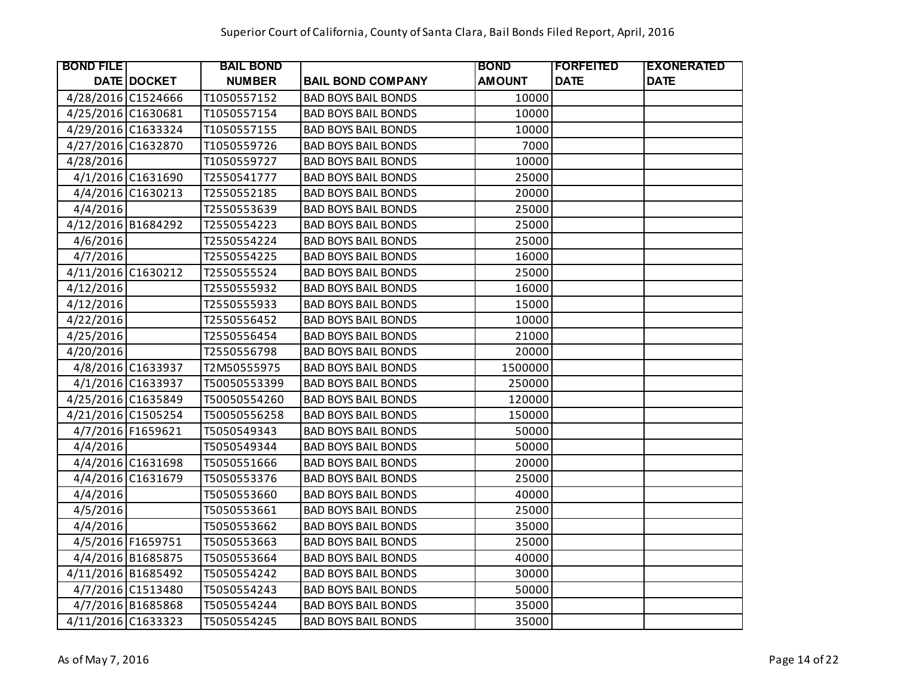| <b>BOND FILET</b>  |                    | <b>BAIL BOND</b> |                            | <b>BOND</b>   | <b> FORFEITED</b> | <b>EXONERATED</b> |
|--------------------|--------------------|------------------|----------------------------|---------------|-------------------|-------------------|
|                    | <b>DATE DOCKET</b> | <b>NUMBER</b>    | <b>BAIL BOND COMPANY</b>   | <b>AMOUNT</b> | <b>DATE</b>       | <b>DATE</b>       |
| 4/28/2016 C1524666 |                    | T1050557152      | <b>BAD BOYS BAIL BONDS</b> | 10000         |                   |                   |
| 4/25/2016 C1630681 |                    | T1050557154      | <b>BAD BOYS BAIL BONDS</b> | 10000         |                   |                   |
| 4/29/2016 C1633324 |                    | T1050557155      | <b>BAD BOYS BAIL BONDS</b> | 10000         |                   |                   |
| 4/27/2016 C1632870 |                    | T1050559726      | <b>BAD BOYS BAIL BONDS</b> | 7000          |                   |                   |
| 4/28/2016          |                    | T1050559727      | <b>BAD BOYS BAIL BONDS</b> | 10000         |                   |                   |
|                    | 4/1/2016 C1631690  | T2550541777      | <b>BAD BOYS BAIL BONDS</b> | 25000         |                   |                   |
|                    | 4/4/2016 C1630213  | T2550552185      | <b>BAD BOYS BAIL BONDS</b> | 20000         |                   |                   |
| 4/4/2016           |                    | T2550553639      | <b>BAD BOYS BAIL BONDS</b> | 25000         |                   |                   |
| 4/12/2016 B1684292 |                    | T2550554223      | <b>BAD BOYS BAIL BONDS</b> | 25000         |                   |                   |
| 4/6/2016           |                    | T2550554224      | <b>BAD BOYS BAIL BONDS</b> | 25000         |                   |                   |
| 4/7/2016           |                    | T2550554225      | <b>BAD BOYS BAIL BONDS</b> | 16000         |                   |                   |
| 4/11/2016 C1630212 |                    | T2550555524      | <b>BAD BOYS BAIL BONDS</b> | 25000         |                   |                   |
| 4/12/2016          |                    | T2550555932      | <b>BAD BOYS BAIL BONDS</b> | 16000         |                   |                   |
| 4/12/2016          |                    | T2550555933      | <b>BAD BOYS BAIL BONDS</b> | 15000         |                   |                   |
| 4/22/2016          |                    | T2550556452      | <b>BAD BOYS BAIL BONDS</b> | 10000         |                   |                   |
| 4/25/2016          |                    | T2550556454      | <b>BAD BOYS BAIL BONDS</b> | 21000         |                   |                   |
| 4/20/2016          |                    | T2550556798      | <b>BAD BOYS BAIL BONDS</b> | 20000         |                   |                   |
|                    | 4/8/2016 C1633937  | T2M50555975      | <b>BAD BOYS BAIL BONDS</b> | 1500000       |                   |                   |
|                    | 4/1/2016 C1633937  | T50050553399     | <b>BAD BOYS BAIL BONDS</b> | 250000        |                   |                   |
| 4/25/2016 C1635849 |                    | T50050554260     | <b>BAD BOYS BAIL BONDS</b> | 120000        |                   |                   |
| 4/21/2016 C1505254 |                    | T50050556258     | <b>BAD BOYS BAIL BONDS</b> | 150000        |                   |                   |
|                    | 4/7/2016 F1659621  | T5050549343      | <b>BAD BOYS BAIL BONDS</b> | 50000         |                   |                   |
| 4/4/2016           |                    | T5050549344      | <b>BAD BOYS BAIL BONDS</b> | 50000         |                   |                   |
|                    | 4/4/2016 C1631698  | T5050551666      | <b>BAD BOYS BAIL BONDS</b> | 20000         |                   |                   |
|                    | 4/4/2016 C1631679  | T5050553376      | <b>BAD BOYS BAIL BONDS</b> | 25000         |                   |                   |
| 4/4/2016           |                    | T5050553660      | <b>BAD BOYS BAIL BONDS</b> | 40000         |                   |                   |
| 4/5/2016           |                    | T5050553661      | <b>BAD BOYS BAIL BONDS</b> | 25000         |                   |                   |
| 4/4/2016           |                    | T5050553662      | <b>BAD BOYS BAIL BONDS</b> | 35000         |                   |                   |
|                    | 4/5/2016 F1659751  | T5050553663      | <b>BAD BOYS BAIL BONDS</b> | 25000         |                   |                   |
|                    | 4/4/2016 B1685875  | T5050553664      | <b>BAD BOYS BAIL BONDS</b> | 40000         |                   |                   |
| 4/11/2016 B1685492 |                    | T5050554242      | <b>BAD BOYS BAIL BONDS</b> | 30000         |                   |                   |
|                    | 4/7/2016 C1513480  | T5050554243      | <b>BAD BOYS BAIL BONDS</b> | 50000         |                   |                   |
|                    | 4/7/2016 B1685868  | T5050554244      | <b>BAD BOYS BAIL BONDS</b> | 35000         |                   |                   |
| 4/11/2016 C1633323 |                    | T5050554245      | <b>BAD BOYS BAIL BONDS</b> | 35000         |                   |                   |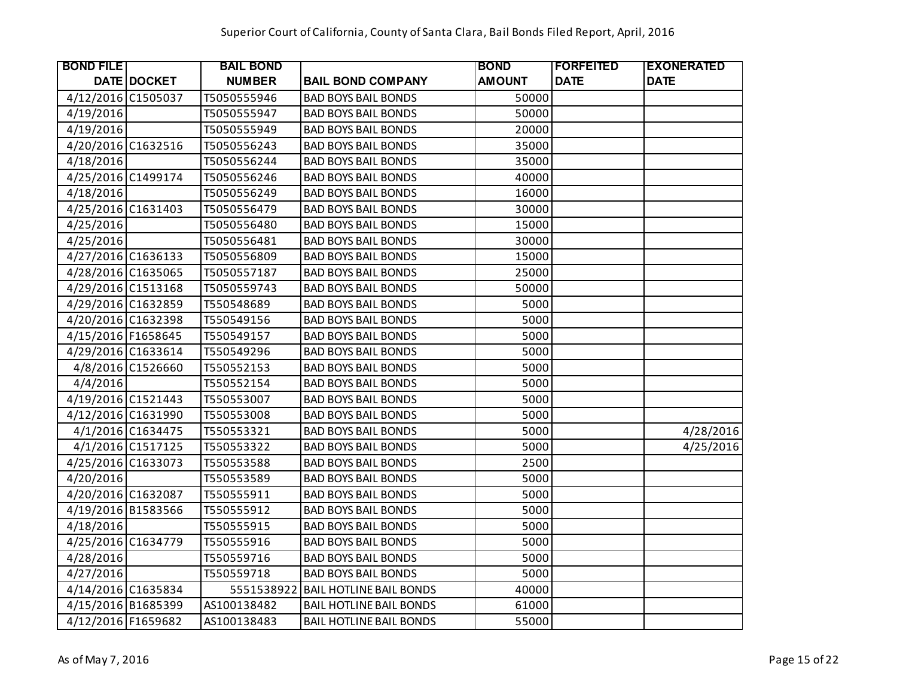| <b>BOND FILE</b>   |                   | <b>BAIL BOND</b> |                                | <b>BOND</b>   | <b>IFORFEITED</b> | <b>EXONERATED</b> |
|--------------------|-------------------|------------------|--------------------------------|---------------|-------------------|-------------------|
|                    | DATE DOCKET       | <b>NUMBER</b>    | <b>BAIL BOND COMPANY</b>       | <b>AMOUNT</b> | <b>DATE</b>       | <b>DATE</b>       |
| 4/12/2016 C1505037 |                   | T5050555946      | <b>BAD BOYS BAIL BONDS</b>     | 50000         |                   |                   |
| 4/19/2016          |                   | T5050555947      | <b>BAD BOYS BAIL BONDS</b>     | 50000         |                   |                   |
| 4/19/2016          |                   | T5050555949      | <b>BAD BOYS BAIL BONDS</b>     | 20000         |                   |                   |
| 4/20/2016 C1632516 |                   | T5050556243      | <b>BAD BOYS BAIL BONDS</b>     | 35000         |                   |                   |
| 4/18/2016          |                   | T5050556244      | <b>BAD BOYS BAIL BONDS</b>     | 35000         |                   |                   |
| 4/25/2016 C1499174 |                   | T5050556246      | <b>BAD BOYS BAIL BONDS</b>     | 40000         |                   |                   |
| 4/18/2016          |                   | T5050556249      | <b>BAD BOYS BAIL BONDS</b>     | 16000         |                   |                   |
| 4/25/2016 C1631403 |                   | T5050556479      | <b>BAD BOYS BAIL BONDS</b>     | 30000         |                   |                   |
| 4/25/2016          |                   | T5050556480      | <b>BAD BOYS BAIL BONDS</b>     | 15000         |                   |                   |
| 4/25/2016          |                   | T5050556481      | <b>BAD BOYS BAIL BONDS</b>     | 30000         |                   |                   |
| 4/27/2016 C1636133 |                   | T5050556809      | <b>BAD BOYS BAIL BONDS</b>     | 15000         |                   |                   |
| 4/28/2016 C1635065 |                   | T5050557187      | <b>BAD BOYS BAIL BONDS</b>     | 25000         |                   |                   |
| 4/29/2016 C1513168 |                   | T5050559743      | <b>BAD BOYS BAIL BONDS</b>     | 50000         |                   |                   |
| 4/29/2016 C1632859 |                   | T550548689       | <b>BAD BOYS BAIL BONDS</b>     | 5000          |                   |                   |
| 4/20/2016 C1632398 |                   | T550549156       | <b>BAD BOYS BAIL BONDS</b>     | 5000          |                   |                   |
| 4/15/2016 F1658645 |                   | T550549157       | <b>BAD BOYS BAIL BONDS</b>     | 5000          |                   |                   |
| 4/29/2016 C1633614 |                   | T550549296       | <b>BAD BOYS BAIL BONDS</b>     | 5000          |                   |                   |
|                    | 4/8/2016 C1526660 | T550552153       | <b>BAD BOYS BAIL BONDS</b>     | 5000          |                   |                   |
| 4/4/2016           |                   | T550552154       | <b>BAD BOYS BAIL BONDS</b>     | 5000          |                   |                   |
| 4/19/2016 C1521443 |                   | T550553007       | <b>BAD BOYS BAIL BONDS</b>     | 5000          |                   |                   |
| 4/12/2016 C1631990 |                   | T550553008       | <b>BAD BOYS BAIL BONDS</b>     | 5000          |                   |                   |
|                    | 4/1/2016 C1634475 | T550553321       | <b>BAD BOYS BAIL BONDS</b>     | 5000          |                   | 4/28/2016         |
|                    | 4/1/2016 C1517125 | T550553322       | <b>BAD BOYS BAIL BONDS</b>     | 5000          |                   | 4/25/2016         |
| 4/25/2016 C1633073 |                   | T550553588       | <b>BAD BOYS BAIL BONDS</b>     | 2500          |                   |                   |
| 4/20/2016          |                   | T550553589       | <b>BAD BOYS BAIL BONDS</b>     | 5000          |                   |                   |
| 4/20/2016 C1632087 |                   | T550555911       | <b>BAD BOYS BAIL BONDS</b>     | 5000          |                   |                   |
| 4/19/2016 B1583566 |                   | T550555912       | <b>BAD BOYS BAIL BONDS</b>     | 5000          |                   |                   |
| 4/18/2016          |                   | T550555915       | <b>BAD BOYS BAIL BONDS</b>     | 5000          |                   |                   |
| 4/25/2016 C1634779 |                   | T550555916       | <b>BAD BOYS BAIL BONDS</b>     | 5000          |                   |                   |
| 4/28/2016          |                   | T550559716       | <b>BAD BOYS BAIL BONDS</b>     | 5000          |                   |                   |
| 4/27/2016          |                   | T550559718       | <b>BAD BOYS BAIL BONDS</b>     | 5000          |                   |                   |
| 4/14/2016 C1635834 |                   | 5551538922       | <b>BAIL HOTLINE BAIL BONDS</b> | 40000         |                   |                   |
| 4/15/2016 B1685399 |                   | AS100138482      | <b>BAIL HOTLINE BAIL BONDS</b> | 61000         |                   |                   |
| 4/12/2016 F1659682 |                   | AS100138483      | <b>BAIL HOTLINE BAIL BONDS</b> | 55000         |                   |                   |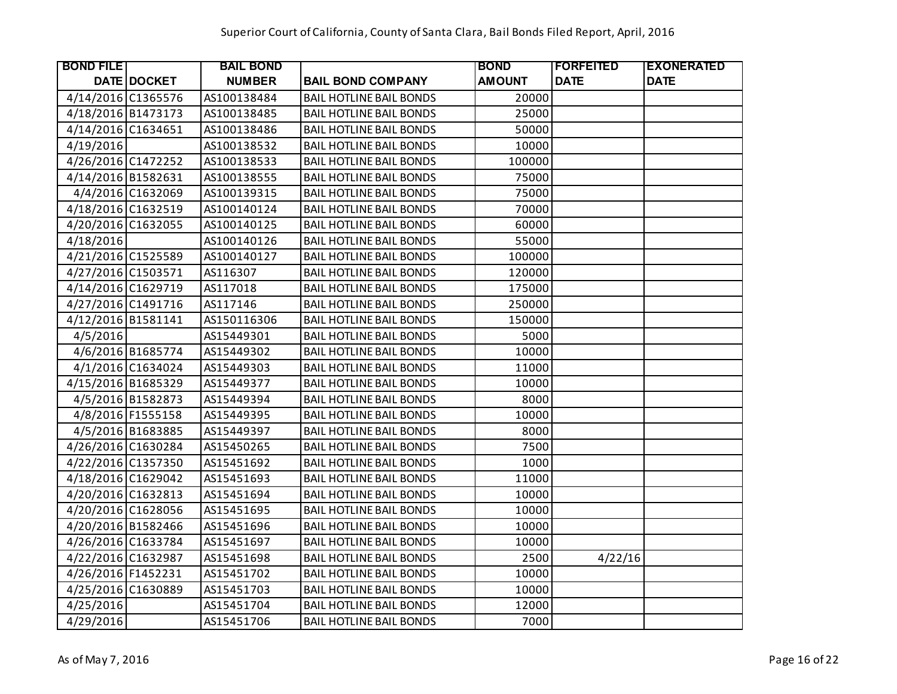| <b>BOND FILE</b>   |                   | <b>BAIL BOND</b> |                                | <b>BOND</b>   | <b>IFORFEITED</b> | <b>EXONERATED</b> |
|--------------------|-------------------|------------------|--------------------------------|---------------|-------------------|-------------------|
|                    | DATE DOCKET       | <b>NUMBER</b>    | <b>BAIL BOND COMPANY</b>       | <b>AMOUNT</b> | <b>DATE</b>       | <b>DATE</b>       |
| 4/14/2016 C1365576 |                   | AS100138484      | <b>BAIL HOTLINE BAIL BONDS</b> | 20000         |                   |                   |
| 4/18/2016 B1473173 |                   | AS100138485      | <b>BAIL HOTLINE BAIL BONDS</b> | 25000         |                   |                   |
| 4/14/2016 C1634651 |                   | AS100138486      | <b>BAIL HOTLINE BAIL BONDS</b> | 50000         |                   |                   |
| 4/19/2016          |                   | AS100138532      | <b>BAIL HOTLINE BAIL BONDS</b> | 10000         |                   |                   |
| 4/26/2016 C1472252 |                   | AS100138533      | <b>BAIL HOTLINE BAIL BONDS</b> | 100000        |                   |                   |
| 4/14/2016 B1582631 |                   | AS100138555      | <b>BAIL HOTLINE BAIL BONDS</b> | 75000         |                   |                   |
|                    | 4/4/2016 C1632069 | AS100139315      | <b>BAIL HOTLINE BAIL BONDS</b> | 75000         |                   |                   |
| 4/18/2016 C1632519 |                   | AS100140124      | <b>BAIL HOTLINE BAIL BONDS</b> | 70000         |                   |                   |
| 4/20/2016 C1632055 |                   | AS100140125      | <b>BAIL HOTLINE BAIL BONDS</b> | 60000         |                   |                   |
| 4/18/2016          |                   | AS100140126      | <b>BAIL HOTLINE BAIL BONDS</b> | 55000         |                   |                   |
| 4/21/2016 C1525589 |                   | AS100140127      | <b>BAIL HOTLINE BAIL BONDS</b> | 100000        |                   |                   |
| 4/27/2016 C1503571 |                   | AS116307         | <b>BAIL HOTLINE BAIL BONDS</b> | 120000        |                   |                   |
| 4/14/2016 C1629719 |                   | AS117018         | <b>BAIL HOTLINE BAIL BONDS</b> | 175000        |                   |                   |
| 4/27/2016 C1491716 |                   | AS117146         | <b>BAIL HOTLINE BAIL BONDS</b> | 250000        |                   |                   |
| 4/12/2016 B1581141 |                   | AS150116306      | <b>BAIL HOTLINE BAIL BONDS</b> | 150000        |                   |                   |
| 4/5/2016           |                   | AS15449301       | <b>BAIL HOTLINE BAIL BONDS</b> | 5000          |                   |                   |
|                    | 4/6/2016 B1685774 | AS15449302       | <b>BAIL HOTLINE BAIL BONDS</b> | 10000         |                   |                   |
|                    | 4/1/2016 C1634024 | AS15449303       | <b>BAIL HOTLINE BAIL BONDS</b> | 11000         |                   |                   |
| 4/15/2016 B1685329 |                   | AS15449377       | <b>BAIL HOTLINE BAIL BONDS</b> | 10000         |                   |                   |
|                    | 4/5/2016 B1582873 | AS15449394       | <b>BAIL HOTLINE BAIL BONDS</b> | 8000          |                   |                   |
|                    | 4/8/2016 F1555158 | AS15449395       | <b>BAIL HOTLINE BAIL BONDS</b> | 10000         |                   |                   |
|                    | 4/5/2016 B1683885 | AS15449397       | <b>BAIL HOTLINE BAIL BONDS</b> | 8000          |                   |                   |
| 4/26/2016 C1630284 |                   | AS15450265       | <b>BAIL HOTLINE BAIL BONDS</b> | 7500          |                   |                   |
| 4/22/2016 C1357350 |                   | AS15451692       | <b>BAIL HOTLINE BAIL BONDS</b> | 1000          |                   |                   |
| 4/18/2016 C1629042 |                   | AS15451693       | <b>BAIL HOTLINE BAIL BONDS</b> | 11000         |                   |                   |
| 4/20/2016 C1632813 |                   | AS15451694       | <b>BAIL HOTLINE BAIL BONDS</b> | 10000         |                   |                   |
| 4/20/2016 C1628056 |                   | AS15451695       | <b>BAIL HOTLINE BAIL BONDS</b> | 10000         |                   |                   |
| 4/20/2016 B1582466 |                   | AS15451696       | <b>BAIL HOTLINE BAIL BONDS</b> | 10000         |                   |                   |
| 4/26/2016 C1633784 |                   | AS15451697       | <b>BAIL HOTLINE BAIL BONDS</b> | 10000         |                   |                   |
| 4/22/2016 C1632987 |                   | AS15451698       | <b>BAIL HOTLINE BAIL BONDS</b> | 2500          | 4/22/16           |                   |
| 4/26/2016 F1452231 |                   | AS15451702       | <b>BAIL HOTLINE BAIL BONDS</b> | 10000         |                   |                   |
| 4/25/2016 C1630889 |                   | AS15451703       | <b>BAIL HOTLINE BAIL BONDS</b> | 10000         |                   |                   |
| 4/25/2016          |                   | AS15451704       | <b>BAIL HOTLINE BAIL BONDS</b> | 12000         |                   |                   |
| 4/29/2016          |                   | AS15451706       | <b>BAIL HOTLINE BAIL BONDS</b> | 7000          |                   |                   |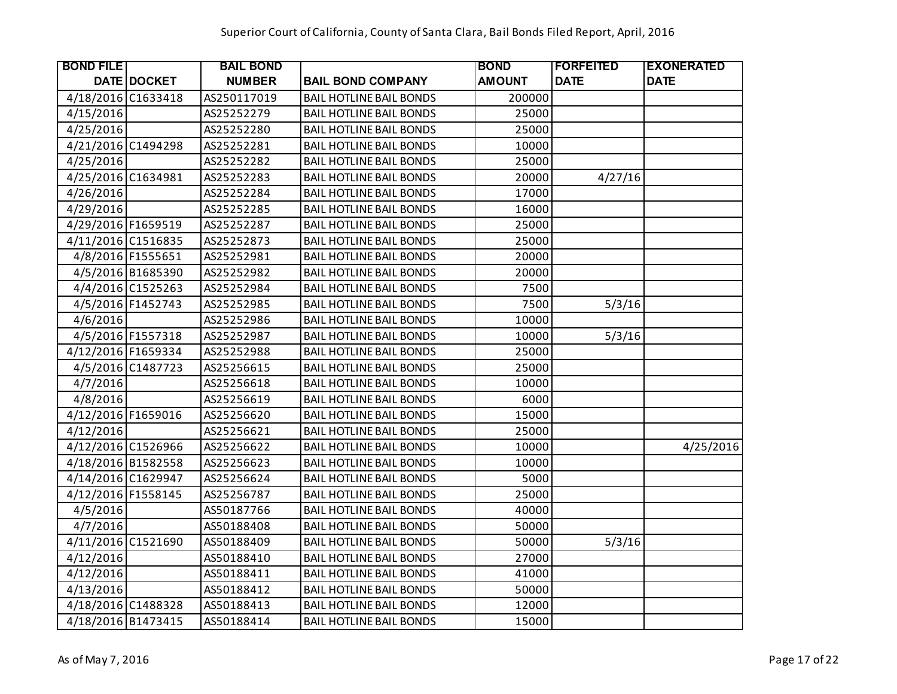| <b>BOND FILE</b>   |                    | <b>BAIL BOND</b> |                                | <b>BOND</b>   | <b> FORFEITED</b> | <b>EXONERATED</b> |
|--------------------|--------------------|------------------|--------------------------------|---------------|-------------------|-------------------|
|                    | <b>DATE DOCKET</b> | <b>NUMBER</b>    | <b>BAIL BOND COMPANY</b>       | <b>AMOUNT</b> | <b>DATE</b>       | <b>DATE</b>       |
| 4/18/2016 C1633418 |                    | AS250117019      | <b>BAIL HOTLINE BAIL BONDS</b> | 200000        |                   |                   |
| 4/15/2016          |                    | AS25252279       | <b>BAIL HOTLINE BAIL BONDS</b> | 25000         |                   |                   |
| 4/25/2016          |                    | AS25252280       | <b>BAIL HOTLINE BAIL BONDS</b> | 25000         |                   |                   |
| 4/21/2016 C1494298 |                    | AS25252281       | <b>BAIL HOTLINE BAIL BONDS</b> | 10000         |                   |                   |
| 4/25/2016          |                    | AS25252282       | <b>BAIL HOTLINE BAIL BONDS</b> | 25000         |                   |                   |
| 4/25/2016 C1634981 |                    | AS25252283       | <b>BAIL HOTLINE BAIL BONDS</b> | 20000         | 4/27/16           |                   |
| 4/26/2016          |                    | AS25252284       | <b>BAIL HOTLINE BAIL BONDS</b> | 17000         |                   |                   |
| 4/29/2016          |                    | AS25252285       | <b>BAIL HOTLINE BAIL BONDS</b> | 16000         |                   |                   |
| 4/29/2016 F1659519 |                    | AS25252287       | <b>BAIL HOTLINE BAIL BONDS</b> | 25000         |                   |                   |
| 4/11/2016 C1516835 |                    | AS25252873       | <b>BAIL HOTLINE BAIL BONDS</b> | 25000         |                   |                   |
|                    | 4/8/2016 F1555651  | AS25252981       | <b>BAIL HOTLINE BAIL BONDS</b> | 20000         |                   |                   |
|                    | 4/5/2016 B1685390  | AS25252982       | <b>BAIL HOTLINE BAIL BONDS</b> | 20000         |                   |                   |
|                    | 4/4/2016 C1525263  | AS25252984       | <b>BAIL HOTLINE BAIL BONDS</b> | 7500          |                   |                   |
|                    | 4/5/2016 F1452743  | AS25252985       | <b>BAIL HOTLINE BAIL BONDS</b> | 7500          | 5/3/16            |                   |
| 4/6/2016           |                    | AS25252986       | <b>BAIL HOTLINE BAIL BONDS</b> | 10000         |                   |                   |
|                    | 4/5/2016 F1557318  | AS25252987       | <b>BAIL HOTLINE BAIL BONDS</b> | 10000         | 5/3/16            |                   |
| 4/12/2016 F1659334 |                    | AS25252988       | <b>BAIL HOTLINE BAIL BONDS</b> | 25000         |                   |                   |
|                    | 4/5/2016 C1487723  | AS25256615       | <b>BAIL HOTLINE BAIL BONDS</b> | 25000         |                   |                   |
| 4/7/2016           |                    | AS25256618       | <b>BAIL HOTLINE BAIL BONDS</b> | 10000         |                   |                   |
| 4/8/2016           |                    | AS25256619       | <b>BAIL HOTLINE BAIL BONDS</b> | 6000          |                   |                   |
| 4/12/2016 F1659016 |                    | AS25256620       | <b>BAIL HOTLINE BAIL BONDS</b> | 15000         |                   |                   |
| 4/12/2016          |                    | AS25256621       | <b>BAIL HOTLINE BAIL BONDS</b> | 25000         |                   |                   |
| 4/12/2016 C1526966 |                    | AS25256622       | <b>BAIL HOTLINE BAIL BONDS</b> | 10000         |                   | 4/25/2016         |
| 4/18/2016 B1582558 |                    | AS25256623       | <b>BAIL HOTLINE BAIL BONDS</b> | 10000         |                   |                   |
| 4/14/2016 C1629947 |                    | AS25256624       | <b>BAIL HOTLINE BAIL BONDS</b> | 5000          |                   |                   |
| 4/12/2016 F1558145 |                    | AS25256787       | <b>BAIL HOTLINE BAIL BONDS</b> | 25000         |                   |                   |
| 4/5/2016           |                    | AS50187766       | <b>BAIL HOTLINE BAIL BONDS</b> | 40000         |                   |                   |
| 4/7/2016           |                    | AS50188408       | <b>BAIL HOTLINE BAIL BONDS</b> | 50000         |                   |                   |
| 4/11/2016 C1521690 |                    | AS50188409       | <b>BAIL HOTLINE BAIL BONDS</b> | 50000         | 5/3/16            |                   |
| 4/12/2016          |                    | AS50188410       | <b>BAIL HOTLINE BAIL BONDS</b> | 27000         |                   |                   |
| 4/12/2016          |                    | AS50188411       | <b>BAIL HOTLINE BAIL BONDS</b> | 41000         |                   |                   |
| 4/13/2016          |                    | AS50188412       | <b>BAIL HOTLINE BAIL BONDS</b> | 50000         |                   |                   |
| 4/18/2016 C1488328 |                    | AS50188413       | <b>BAIL HOTLINE BAIL BONDS</b> | 12000         |                   |                   |
| 4/18/2016 B1473415 |                    | AS50188414       | <b>BAIL HOTLINE BAIL BONDS</b> | 15000         |                   |                   |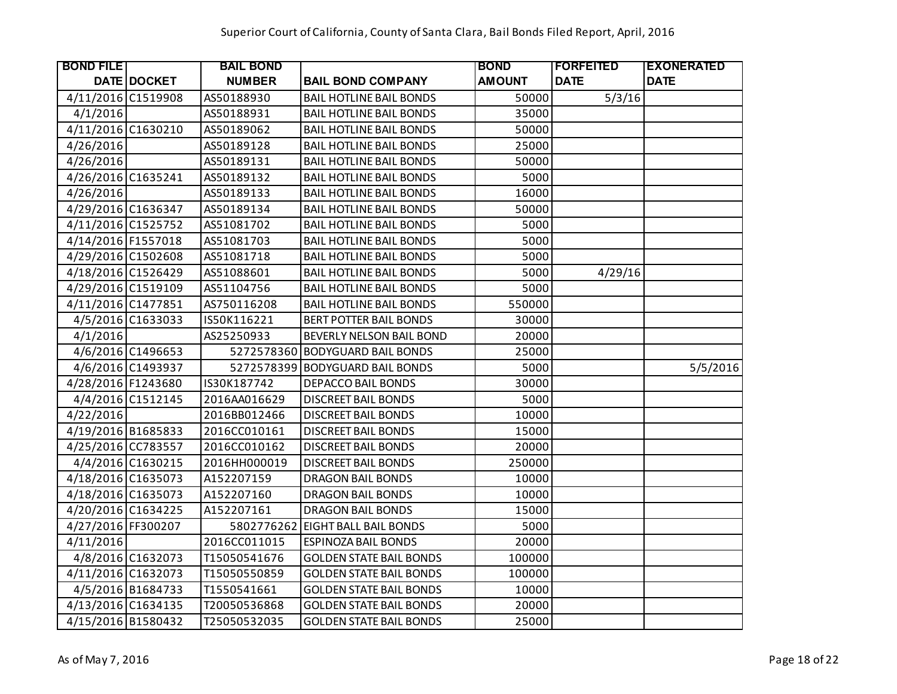| <b>BOND FILE</b>   |                    | <b>BAIL BOND</b> |                                | <b>BOND</b>   | <b>FORFEITED</b> | <b>EXONERATED</b> |
|--------------------|--------------------|------------------|--------------------------------|---------------|------------------|-------------------|
|                    | <b>DATE DOCKET</b> | <b>NUMBER</b>    | <b>BAIL BOND COMPANY</b>       | <b>AMOUNT</b> | <b>DATE</b>      | <b>DATE</b>       |
| 4/11/2016 C1519908 |                    | AS50188930       | <b>BAIL HOTLINE BAIL BONDS</b> | 50000         | 5/3/16           |                   |
| 4/1/2016           |                    | AS50188931       | <b>BAIL HOTLINE BAIL BONDS</b> | 35000         |                  |                   |
| 4/11/2016 C1630210 |                    | AS50189062       | <b>BAIL HOTLINE BAIL BONDS</b> | 50000         |                  |                   |
| 4/26/2016          |                    | AS50189128       | <b>BAIL HOTLINE BAIL BONDS</b> | 25000         |                  |                   |
| 4/26/2016          |                    | AS50189131       | <b>BAIL HOTLINE BAIL BONDS</b> | 50000         |                  |                   |
| 4/26/2016 C1635241 |                    | AS50189132       | <b>BAIL HOTLINE BAIL BONDS</b> | 5000          |                  |                   |
| 4/26/2016          |                    | AS50189133       | <b>BAIL HOTLINE BAIL BONDS</b> | 16000         |                  |                   |
| 4/29/2016 C1636347 |                    | AS50189134       | <b>BAIL HOTLINE BAIL BONDS</b> | 50000         |                  |                   |
| 4/11/2016 C1525752 |                    | AS51081702       | <b>BAIL HOTLINE BAIL BONDS</b> | 5000          |                  |                   |
| 4/14/2016 F1557018 |                    | AS51081703       | <b>BAIL HOTLINE BAIL BONDS</b> | 5000          |                  |                   |
| 4/29/2016 C1502608 |                    | AS51081718       | <b>BAIL HOTLINE BAIL BONDS</b> | 5000          |                  |                   |
| 4/18/2016 C1526429 |                    | AS51088601       | <b>BAIL HOTLINE BAIL BONDS</b> | 5000          | 4/29/16          |                   |
| 4/29/2016 C1519109 |                    | AS51104756       | <b>BAIL HOTLINE BAIL BONDS</b> | 5000          |                  |                   |
| 4/11/2016 C1477851 |                    | AS750116208      | <b>BAIL HOTLINE BAIL BONDS</b> | 550000        |                  |                   |
|                    | 4/5/2016 C1633033  | IS50K116221      | <b>BERT POTTER BAIL BONDS</b>  | 30000         |                  |                   |
| 4/1/2016           |                    | AS25250933       | BEVERLY NELSON BAIL BOND       | 20000         |                  |                   |
|                    | 4/6/2016 C1496653  | 5272578360       | <b>BODYGUARD BAIL BONDS</b>    | 25000         |                  |                   |
|                    | 4/6/2016 C1493937  | 5272578399       | <b>BODYGUARD BAIL BONDS</b>    | 5000          |                  | 5/5/2016          |
| 4/28/2016 F1243680 |                    | IS30K187742      | DEPACCO BAIL BONDS             | 30000         |                  |                   |
|                    | 4/4/2016 C1512145  | 2016AA016629     | <b>DISCREET BAIL BONDS</b>     | 5000          |                  |                   |
| 4/22/2016          |                    | 2016BB012466     | <b>DISCREET BAIL BONDS</b>     | 10000         |                  |                   |
| 4/19/2016 B1685833 |                    | 2016CC010161     | <b>DISCREET BAIL BONDS</b>     | 15000         |                  |                   |
| 4/25/2016 CC783557 |                    | 2016CC010162     | <b>DISCREET BAIL BONDS</b>     | 20000         |                  |                   |
|                    | 4/4/2016 C1630215  | 2016HH000019     | <b>DISCREET BAIL BONDS</b>     | 250000        |                  |                   |
| 4/18/2016 C1635073 |                    | A152207159       | <b>DRAGON BAIL BONDS</b>       | 10000         |                  |                   |
| 4/18/2016 C1635073 |                    | A152207160       | <b>DRAGON BAIL BONDS</b>       | 10000         |                  |                   |
| 4/20/2016 C1634225 |                    | A152207161       | <b>DRAGON BAIL BONDS</b>       | 15000         |                  |                   |
| 4/27/2016 FF300207 |                    | 5802776262       | EIGHT BALL BAIL BONDS          | 5000          |                  |                   |
| 4/11/2016          |                    | 2016CC011015     | <b>ESPINOZA BAIL BONDS</b>     | 20000         |                  |                   |
|                    | 4/8/2016 C1632073  | T15050541676     | <b>GOLDEN STATE BAIL BONDS</b> | 100000        |                  |                   |
| 4/11/2016 C1632073 |                    | T15050550859     | <b>GOLDEN STATE BAIL BONDS</b> | 100000        |                  |                   |
|                    | 4/5/2016 B1684733  | T1550541661      | <b>GOLDEN STATE BAIL BONDS</b> | 10000         |                  |                   |
| 4/13/2016 C1634135 |                    | T20050536868     | <b>GOLDEN STATE BAIL BONDS</b> | 20000         |                  |                   |
| 4/15/2016 B1580432 |                    | T25050532035     | <b>GOLDEN STATE BAIL BONDS</b> | 25000         |                  |                   |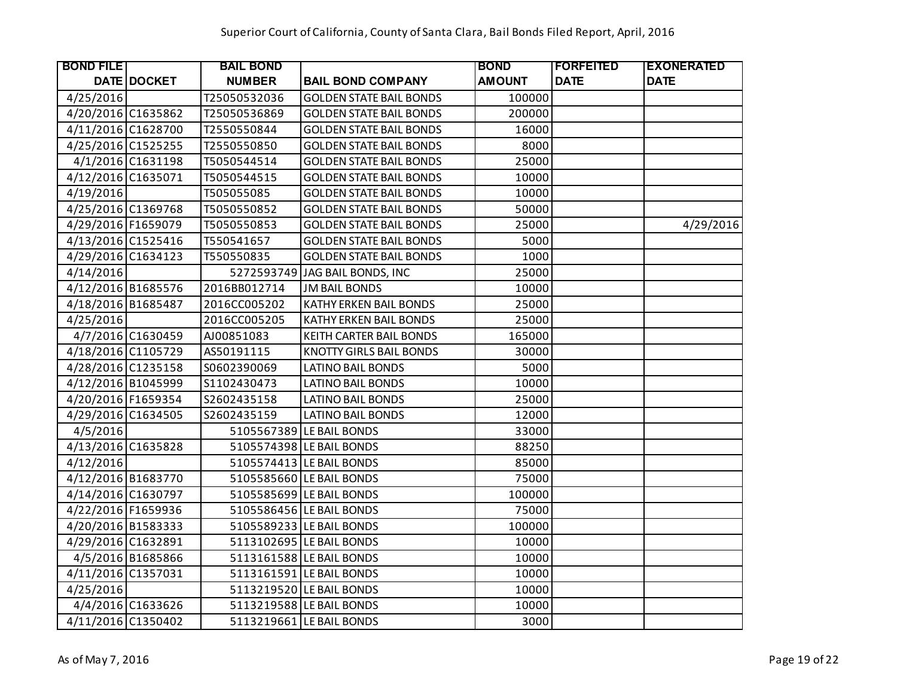| <b>BOND FILE</b>   |                   | <b>BAIL BOND</b> |                                | <b>BOND</b>   | <b>IFORFEITED</b> | <b>EXONERATED</b> |
|--------------------|-------------------|------------------|--------------------------------|---------------|-------------------|-------------------|
|                    | DATE DOCKET       | <b>NUMBER</b>    | <b>BAIL BOND COMPANY</b>       | <b>AMOUNT</b> | <b>DATE</b>       | <b>DATE</b>       |
| 4/25/2016          |                   | T25050532036     | <b>GOLDEN STATE BAIL BONDS</b> | 100000        |                   |                   |
| 4/20/2016 C1635862 |                   | T25050536869     | <b>GOLDEN STATE BAIL BONDS</b> | 200000        |                   |                   |
| 4/11/2016 C1628700 |                   | T2550550844      | <b>GOLDEN STATE BAIL BONDS</b> | 16000         |                   |                   |
| 4/25/2016 C1525255 |                   | T2550550850      | <b>GOLDEN STATE BAIL BONDS</b> | 8000          |                   |                   |
|                    | 4/1/2016 C1631198 | T5050544514      | <b>GOLDEN STATE BAIL BONDS</b> | 25000         |                   |                   |
| 4/12/2016 C1635071 |                   | T5050544515      | <b>GOLDEN STATE BAIL BONDS</b> | 10000         |                   |                   |
| 4/19/2016          |                   | T505055085       | <b>GOLDEN STATE BAIL BONDS</b> | 10000         |                   |                   |
| 4/25/2016 C1369768 |                   | T5050550852      | <b>GOLDEN STATE BAIL BONDS</b> | 50000         |                   |                   |
| 4/29/2016 F1659079 |                   | T5050550853      | <b>GOLDEN STATE BAIL BONDS</b> | 25000         |                   | 4/29/2016         |
| 4/13/2016 C1525416 |                   | T550541657       | <b>GOLDEN STATE BAIL BONDS</b> | 5000          |                   |                   |
| 4/29/2016 C1634123 |                   | T550550835       | <b>GOLDEN STATE BAIL BONDS</b> | 1000          |                   |                   |
| 4/14/2016          |                   |                  | 5272593749 JAG BAIL BONDS, INC | 25000         |                   |                   |
| 4/12/2016 B1685576 |                   | 2016BB012714     | <b>JM BAIL BONDS</b>           | 10000         |                   |                   |
| 4/18/2016 B1685487 |                   | 2016CC005202     | KATHY ERKEN BAIL BONDS         | 25000         |                   |                   |
| 4/25/2016          |                   | 2016CC005205     | <b>KATHY ERKEN BAIL BONDS</b>  | 25000         |                   |                   |
|                    | 4/7/2016 C1630459 | AJ00851083       | KEITH CARTER BAIL BONDS        | 165000        |                   |                   |
| 4/18/2016 C1105729 |                   | AS50191115       | <b>KNOTTY GIRLS BAIL BONDS</b> | 30000         |                   |                   |
| 4/28/2016 C1235158 |                   | S0602390069      | <b>LATINO BAIL BONDS</b>       | 5000          |                   |                   |
| 4/12/2016 B1045999 |                   | S1102430473      | <b>LATINO BAIL BONDS</b>       | 10000         |                   |                   |
| 4/20/2016 F1659354 |                   | S2602435158      | <b>LATINO BAIL BONDS</b>       | 25000         |                   |                   |
| 4/29/2016 C1634505 |                   | S2602435159      | <b>LATINO BAIL BONDS</b>       | 12000         |                   |                   |
| 4/5/2016           |                   |                  | 5105567389 LE BAIL BONDS       | 33000         |                   |                   |
| 4/13/2016 C1635828 |                   |                  | 5105574398 LE BAIL BONDS       | 88250         |                   |                   |
| 4/12/2016          |                   |                  | 5105574413 LE BAIL BONDS       | 85000         |                   |                   |
| 4/12/2016 B1683770 |                   |                  | 5105585660 LE BAIL BONDS       | 75000         |                   |                   |
| 4/14/2016 C1630797 |                   |                  | 5105585699 LE BAIL BONDS       | 100000        |                   |                   |
| 4/22/2016 F1659936 |                   |                  | 5105586456 LE BAIL BONDS       | 75000         |                   |                   |
| 4/20/2016 B1583333 |                   |                  | 5105589233 LE BAIL BONDS       | 100000        |                   |                   |
| 4/29/2016 C1632891 |                   |                  | 5113102695 LE BAIL BONDS       | 10000         |                   |                   |
|                    | 4/5/2016 B1685866 |                  | 5113161588 LE BAIL BONDS       | 10000         |                   |                   |
| 4/11/2016 C1357031 |                   |                  | 5113161591 LE BAIL BONDS       | 10000         |                   |                   |
| 4/25/2016          |                   |                  | 5113219520 LE BAIL BONDS       | 10000         |                   |                   |
|                    | 4/4/2016 C1633626 |                  | 5113219588 LE BAIL BONDS       | 10000         |                   |                   |
| 4/11/2016 C1350402 |                   |                  | 5113219661 LE BAIL BONDS       | 3000          |                   |                   |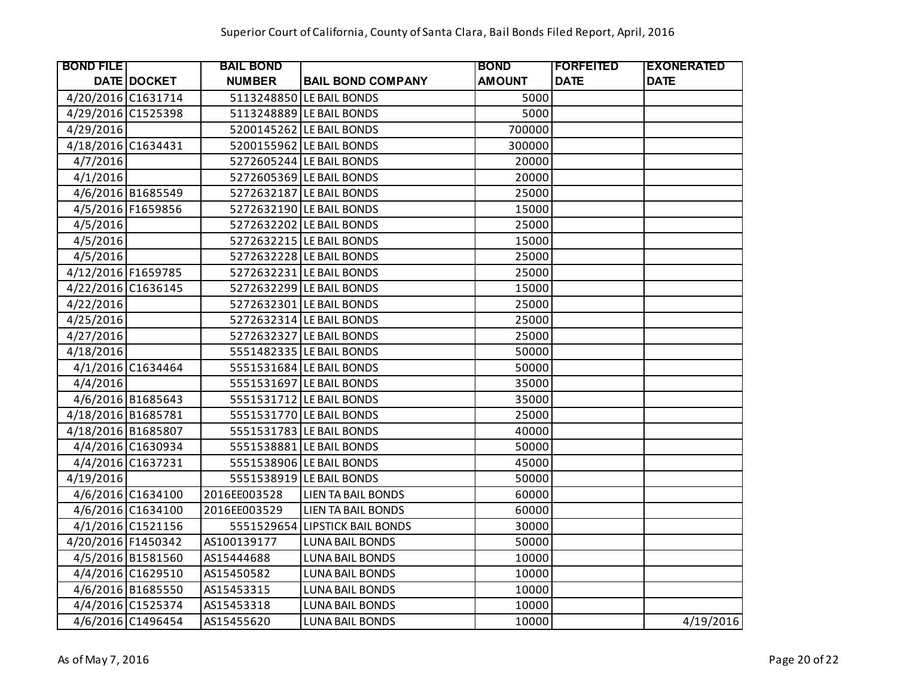| <b>BOND FILE</b>   |                    | <b>BAIL BOND</b> |                                | <b>BOND</b>   | <b>IFORFEITED</b> | <b>EXONERATED</b> |
|--------------------|--------------------|------------------|--------------------------------|---------------|-------------------|-------------------|
|                    | <b>DATE DOCKET</b> | <b>NUMBER</b>    | <b>BAIL BOND COMPANY</b>       | <b>AMOUNT</b> | <b>DATE</b>       | <b>DATE</b>       |
| 4/20/2016 C1631714 |                    |                  | 5113248850 LE BAIL BONDS       | 5000          |                   |                   |
| 4/29/2016 C1525398 |                    |                  | 5113248889 LE BAIL BONDS       | 5000          |                   |                   |
| 4/29/2016          |                    |                  | 5200145262 LE BAIL BONDS       | 700000        |                   |                   |
| 4/18/2016 C1634431 |                    |                  | 5200155962 LE BAIL BONDS       | 300000        |                   |                   |
| 4/7/2016           |                    |                  | 5272605244 LE BAIL BONDS       | 20000         |                   |                   |
| 4/1/2016           |                    |                  | 5272605369 LE BAIL BONDS       | 20000         |                   |                   |
|                    | 4/6/2016 B1685549  |                  | 5272632187 LE BAIL BONDS       | 25000         |                   |                   |
|                    | 4/5/2016 F1659856  |                  | 5272632190 LE BAIL BONDS       | 15000         |                   |                   |
| 4/5/2016           |                    |                  | 5272632202 LE BAIL BONDS       | 25000         |                   |                   |
| 4/5/2016           |                    |                  | 5272632215 LE BAIL BONDS       | 15000         |                   |                   |
| 4/5/2016           |                    |                  | 5272632228 LE BAIL BONDS       | 25000         |                   |                   |
| 4/12/2016 F1659785 |                    |                  | 5272632231 LE BAIL BONDS       | 25000         |                   |                   |
| 4/22/2016 C1636145 |                    |                  | 5272632299 LE BAIL BONDS       | 15000         |                   |                   |
| 4/22/2016          |                    |                  | 5272632301 LE BAIL BONDS       | 25000         |                   |                   |
| 4/25/2016          |                    |                  | 5272632314 LE BAIL BONDS       | 25000         |                   |                   |
| 4/27/2016          |                    |                  | 5272632327 LE BAIL BONDS       | 25000         |                   |                   |
| 4/18/2016          |                    |                  | 5551482335 LE BAIL BONDS       | 50000         |                   |                   |
|                    | 4/1/2016 C1634464  |                  | 5551531684 LE BAIL BONDS       | 50000         |                   |                   |
| 4/4/2016           |                    |                  | 5551531697 LE BAIL BONDS       | 35000         |                   |                   |
|                    | 4/6/2016 B1685643  |                  | 5551531712 LE BAIL BONDS       | 35000         |                   |                   |
| 4/18/2016 B1685781 |                    |                  | 5551531770 LE BAIL BONDS       | 25000         |                   |                   |
| 4/18/2016 B1685807 |                    |                  | 5551531783 LE BAIL BONDS       | 40000         |                   |                   |
|                    | 4/4/2016 C1630934  |                  | 5551538881 LE BAIL BONDS       | 50000         |                   |                   |
|                    | 4/4/2016 C1637231  |                  | 5551538906 LE BAIL BONDS       | 45000         |                   |                   |
| 4/19/2016          |                    |                  | 5551538919 LE BAIL BONDS       | 50000         |                   |                   |
|                    | 4/6/2016 C1634100  | 2016EE003528     | <b>LIEN TA BAIL BONDS</b>      | 60000         |                   |                   |
|                    | 4/6/2016 C1634100  | 2016EE003529     | LIEN TA BAIL BONDS             | 60000         |                   |                   |
|                    | 4/1/2016 C1521156  |                  | 5551529654 LIPSTICK BAIL BONDS | 30000         |                   |                   |
| 4/20/2016 F1450342 |                    | AS100139177      | <b>LUNA BAIL BONDS</b>         | 50000         |                   |                   |
|                    | 4/5/2016 B1581560  | AS15444688       | <b>LUNA BAIL BONDS</b>         | 10000         |                   |                   |
|                    | 4/4/2016 C1629510  | AS15450582       | <b>LUNA BAIL BONDS</b>         | 10000         |                   |                   |
|                    | 4/6/2016 B1685550  | AS15453315       | <b>LUNA BAIL BONDS</b>         | 10000         |                   |                   |
|                    | 4/4/2016 C1525374  | AS15453318       | <b>LUNA BAIL BONDS</b>         | 10000         |                   |                   |
|                    | 4/6/2016 C1496454  | AS15455620       | <b>LUNA BAIL BONDS</b>         | 10000         |                   | 4/19/2016         |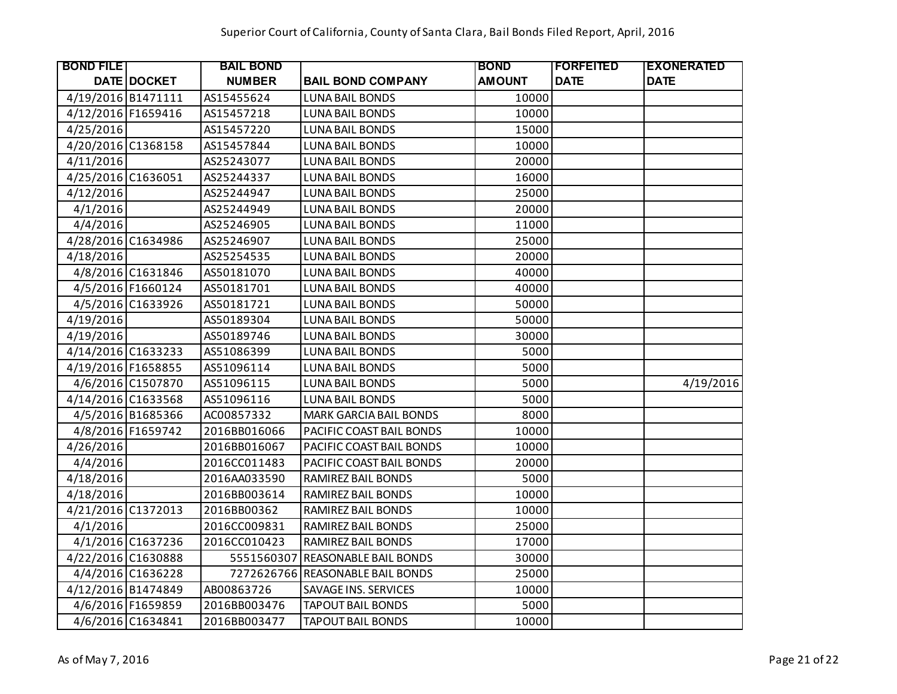| <b>BOND FILE</b>   |                    | <b>BAIL BOND</b> |                                  | <b>BOND</b>   | <b> FORFEITED</b> | <b>EXONERATED</b> |
|--------------------|--------------------|------------------|----------------------------------|---------------|-------------------|-------------------|
|                    | <b>DATE DOCKET</b> | <b>NUMBER</b>    | <b>BAIL BOND COMPANY</b>         | <b>AMOUNT</b> | <b>DATE</b>       | <b>DATE</b>       |
| 4/19/2016 B1471111 |                    | AS15455624       | <b>LUNA BAIL BONDS</b>           | 10000         |                   |                   |
| 4/12/2016 F1659416 |                    | AS15457218       | <b>LUNA BAIL BONDS</b>           | 10000         |                   |                   |
| 4/25/2016          |                    | AS15457220       | <b>LUNA BAIL BONDS</b>           | 15000         |                   |                   |
| 4/20/2016 C1368158 |                    | AS15457844       | <b>LUNA BAIL BONDS</b>           | 10000         |                   |                   |
| 4/11/2016          |                    | AS25243077       | <b>LUNA BAIL BONDS</b>           | 20000         |                   |                   |
| 4/25/2016 C1636051 |                    | AS25244337       | <b>LUNA BAIL BONDS</b>           | 16000         |                   |                   |
| 4/12/2016          |                    | AS25244947       | <b>LUNA BAIL BONDS</b>           | 25000         |                   |                   |
| 4/1/2016           |                    | AS25244949       | <b>LUNA BAIL BONDS</b>           | 20000         |                   |                   |
| 4/4/2016           |                    | AS25246905       | <b>LUNA BAIL BONDS</b>           | 11000         |                   |                   |
| 4/28/2016 C1634986 |                    | AS25246907       | <b>LUNA BAIL BONDS</b>           | 25000         |                   |                   |
| 4/18/2016          |                    | AS25254535       | <b>LUNA BAIL BONDS</b>           | 20000         |                   |                   |
|                    | 4/8/2016 C1631846  | AS50181070       | LUNA BAIL BONDS                  | 40000         |                   |                   |
|                    | 4/5/2016 F1660124  | AS50181701       | <b>LUNA BAIL BONDS</b>           | 40000         |                   |                   |
|                    | 4/5/2016 C1633926  | AS50181721       | <b>LUNA BAIL BONDS</b>           | 50000         |                   |                   |
| 4/19/2016          |                    | AS50189304       | <b>LUNA BAIL BONDS</b>           | 50000         |                   |                   |
| 4/19/2016          |                    | AS50189746       | <b>LUNA BAIL BONDS</b>           | 30000         |                   |                   |
| 4/14/2016 C1633233 |                    | AS51086399       | <b>LUNA BAIL BONDS</b>           | 5000          |                   |                   |
| 4/19/2016 F1658855 |                    | AS51096114       | <b>LUNA BAIL BONDS</b>           | 5000          |                   |                   |
|                    | 4/6/2016 C1507870  | AS51096115       | <b>LUNA BAIL BONDS</b>           | 5000          |                   | 4/19/2016         |
| 4/14/2016 C1633568 |                    | AS51096116       | <b>LUNA BAIL BONDS</b>           | 5000          |                   |                   |
|                    | 4/5/2016 B1685366  | AC00857332       | <b>MARK GARCIA BAIL BONDS</b>    | 8000          |                   |                   |
|                    | 4/8/2016 F1659742  | 2016BB016066     | PACIFIC COAST BAIL BONDS         | 10000         |                   |                   |
| 4/26/2016          |                    | 2016BB016067     | PACIFIC COAST BAIL BONDS         | 10000         |                   |                   |
| 4/4/2016           |                    | 2016CC011483     | PACIFIC COAST BAIL BONDS         | 20000         |                   |                   |
| 4/18/2016          |                    | 2016AA033590     | RAMIREZ BAIL BONDS               | 5000          |                   |                   |
| 4/18/2016          |                    | 2016BB003614     | RAMIREZ BAIL BONDS               | 10000         |                   |                   |
| 4/21/2016 C1372013 |                    | 2016BB00362      | RAMIREZ BAIL BONDS               | 10000         |                   |                   |
| 4/1/2016           |                    | 2016CC009831     | RAMIREZ BAIL BONDS               | 25000         |                   |                   |
|                    | 4/1/2016 C1637236  | 2016CC010423     | RAMIREZ BAIL BONDS               | 17000         |                   |                   |
| 4/22/2016 C1630888 |                    | 5551560307       | <b>REASONABLE BAIL BONDS</b>     | 30000         |                   |                   |
|                    | 4/4/2016 C1636228  |                  | 7272626766 REASONABLE BAIL BONDS | 25000         |                   |                   |
| 4/12/2016 B1474849 |                    | AB00863726       | SAVAGE INS. SERVICES             | 10000         |                   |                   |
|                    | 4/6/2016 F1659859  | 2016BB003476     | <b>TAPOUT BAIL BONDS</b>         | 5000          |                   |                   |
|                    | 4/6/2016 C1634841  | 2016BB003477     | <b>TAPOUT BAIL BONDS</b>         | 10000         |                   |                   |